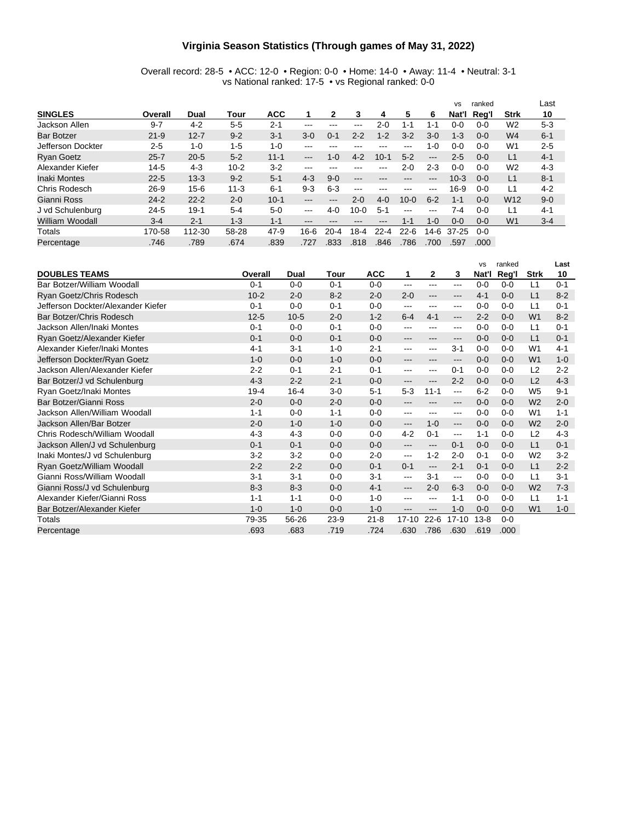#### **Virginia Season Statistics (Through games of May 31, 2022)**

Overall record: 28-5 • ACC: 12-0 • Region: 0-0 • Home: 14-0 • Away: 11-4 • Neutral: 3-1 vs National ranked: 17-5 • vs Regional ranked: 0-0

|                   |          |          |          |            |                            |                            |                   |          |               |                        | <b>VS</b> | ranked  |                 | Last    |
|-------------------|----------|----------|----------|------------|----------------------------|----------------------------|-------------------|----------|---------------|------------------------|-----------|---------|-----------------|---------|
| <b>SINGLES</b>    | Overall  | Dual     | Tour     | <b>ACC</b> |                            | 2                          | 3                 | 4        | 5             | 6                      | Nat'l     | Reg'l   | <b>Strk</b>     | 10      |
| Jackson Allen     | $9 - 7$  | $4 - 2$  | $5-5$    | $2 - 1$    | $- - -$                    | ---                        | ---               | $2 - 0$  | $1 - 1$       | 1-1                    | 0-0       | $0 - 0$ | W <sub>2</sub>  | $5 - 3$ |
| <b>Bar Botzer</b> | $21 - 9$ | $12 - 7$ | $9 - 2$  | $3-1$      | $3-0$                      | $0 - 1$                    | $2 - 2$           | $1 - 2$  | $3 - 2$       | $3 - 0$                | $1 - 3$   | $0 - 0$ | W <sub>4</sub>  | $6 - 1$ |
| Jefferson Dockter | $2-5$    | $1 - 0$  | $1-5$    | $1 - 0$    | $-- -$                     | ---                        | ---               | ---      | ---           | $1 - 0$                | 0-0       | $0 - 0$ | W <sub>1</sub>  | $2 - 5$ |
| <b>Ryan Goetz</b> | $25 - 7$ | $20 - 5$ | $5 - 2$  | $11 - 1$   | $\qquad \qquad -$          | 1-0                        | $4 - 2$           | $10 - 1$ | $5 - 2$       | $\qquad \qquad \cdots$ | $2 - 5$   | $0 - 0$ | L1              | $4 - 1$ |
| Alexander Kiefer  | $14 - 5$ | $4 - 3$  | $10 - 2$ | $3-2$      | $-- -$                     |                            |                   |          | 2-0           | $2 - 3$                | $0 - 0$   | 0-0     | W <sub>2</sub>  | $4 - 3$ |
| Inaki Montes      | $22 - 5$ | $13 - 3$ | $9 - 2$  | $5 - 1$    | $4 - 3$                    | $9 - 0$                    | $- - -$           |          | ---           | ---                    | $10-3$    | $0 - 0$ | L1              | $8 - 1$ |
| Chris Rodesch     | $26 - 9$ | $15 - 6$ | $11 - 3$ | $6 - 1$    | $9 - 3$                    | $6-3$                      | $\qquad \qquad -$ | ---      | ---           | $\frac{1}{2}$          | $16-9$    | $0 - 0$ | 1∟              | $4 - 2$ |
| Gianni Ross       | $24 - 2$ | $22 - 2$ | $2 - 0$  | $10 - 1$   | $\qquad \qquad - \qquad -$ | $\qquad \qquad - \qquad -$ | $2 - 0$           | $4 - 0$  | $10 - 0$      | $6 - 2$                | $1 - 1$   | $0 - 0$ | W <sub>12</sub> | $9 - 0$ |
| J vd Schulenburg  | $24 - 5$ | $19 - 1$ | $5 - 4$  | $5-0$      | $\frac{1}{2}$              | $4 - 0$                    | $10 - 0$          | $5-1$    | $\frac{1}{2}$ | $- - -$                | 7-4       | $0 - 0$ | L1              | $4 - 1$ |
| William Woodall   | $3 - 4$  | $2 - 1$  | $1 - 3$  | $1 - 1$    | $- - -$                    | ---                        | ---               | $- - -$  | 1-1           | $1 - 0$                | $0 - 0$   | $0 - 0$ | W <sub>1</sub>  | $3 - 4$ |
| Totals            | 170-58   | 112-30   | 58-28    | $47-9$     | 16-6                       | $20-4$                     | 18-4              | $22 - 4$ | $22 - 6$      | 14-6                   | $37 - 25$ | $0 - 0$ |                 |         |
| Percentage        | .746     | .789     | .674     | .839       | .727                       | .833                       | .818              | .846     | .786          | .700                   | .597      | .000    |                 |         |

|                                    |          |          |         |            |                     |              |                        | <b>VS</b> | ranked  |                | Last    |
|------------------------------------|----------|----------|---------|------------|---------------------|--------------|------------------------|-----------|---------|----------------|---------|
| <b>DOUBLES TEAMS</b>               | Overall  | Dual     | Tour    | <b>ACC</b> | 1                   | $\mathbf{2}$ | 3                      | Nat'l     | Reg'l   | <b>Strk</b>    | 10      |
| Bar Botzer/William Woodall         | $0 - 1$  | $0-0$    | $0 - 1$ | $0 - 0$    | $---$               | $--$         | $---$                  | $0 - 0$   | $0 - 0$ | L1             | $0 - 1$ |
| Ryan Goetz/Chris Rodesch           | $10 - 2$ | $2 - 0$  | $8 - 2$ | $2 - 0$    | $2 - 0$             | $- - -$      | $---$                  | $4 - 1$   | $0 - 0$ | L1             | $8 - 2$ |
| Jefferson Dockter/Alexander Kiefer | $0 - 1$  | $0-0$    | $0 - 1$ | $0 - 0$    | $---$               | $--$         | ---                    | $0 - 0$   | $0 - 0$ | L1             | $0 - 1$ |
| Bar Botzer/Chris Rodesch           | $12 - 5$ | $10 - 5$ | $2 - 0$ | $1 - 2$    | $6 - 4$             | $4 - 1$      | $---$                  | $2 - 2$   | $0 - 0$ | W <sub>1</sub> | $8 - 2$ |
| Jackson Allen/Inaki Montes         | $0 - 1$  | $0 - 0$  | $0 - 1$ | $0 - 0$    | $---$               | ---          | $--$                   | $0 - 0$   | $0 - 0$ | L1             | $0 - 1$ |
| Ryan Goetz/Alexander Kiefer        | $0 - 1$  | $0 - 0$  | $0 - 1$ | $0 - 0$    | ---                 | $- - -$      | $---$                  | $0 - 0$   | $0 - 0$ | L1             | $0 - 1$ |
| Alexander Kiefer/Inaki Montes      | $4 - 1$  | $3 - 1$  | $1 - 0$ | $2 - 1$    | ---                 | ---          | $3 - 1$                | $0 - 0$   | $0 - 0$ | W <sub>1</sub> | $4 - 1$ |
| Jefferson Dockter/Ryan Goetz       | $1 - 0$  | $0 - 0$  | $1 - 0$ | $0 - 0$    | $- - -$             | $- - -$      | $---$                  | $0 - 0$   | $0 - 0$ | W <sub>1</sub> | $1 - 0$ |
| Jackson Allen/Alexander Kiefer     | $2 - 2$  | $0 - 1$  | $2 - 1$ | $0 - 1$    | ---                 | $--$         | $0 - 1$                | $0 - 0$   | $0 - 0$ | L2             | $2 - 2$ |
| Bar Botzer/J vd Schulenburg        | $4 - 3$  | $2 - 2$  | $2 - 1$ | $0 - 0$    | $---$               | $---$        | $2 - 2$                | $0 - 0$   | $0 - 0$ | L2             | $4 - 3$ |
| Ryan Goetz/Inaki Montes            | $19 - 4$ | $16 - 4$ | $3-0$   | $5 - 1$    | $5 - 3$             | $11 - 1$     | $---$                  | $6 - 2$   | $0 - 0$ | W <sub>5</sub> | $9 - 1$ |
| Bar Botzer/Gianni Ross             | $2 - 0$  | $0 - 0$  | $2 - 0$ | $0 - 0$    | ---                 |              | $---$                  | $0 - 0$   | $0 - 0$ | W <sub>2</sub> | $2 - 0$ |
| Jackson Allen/William Woodall      | $1 - 1$  | $0 - 0$  | $1 - 1$ | $0 - 0$    | $---$               | ---          | $---$                  | $0 - 0$   | $0 - 0$ | W <sub>1</sub> | $1 - 1$ |
| Jackson Allen/Bar Botzer           | $2 - 0$  | $1 - 0$  | $1 - 0$ | $0 - 0$    | $\qquad \qquad - -$ | $1 - 0$      | $\qquad \qquad \cdots$ | $0 - 0$   | $0 - 0$ | W <sub>2</sub> | $2 - 0$ |
| Chris Rodesch/William Woodall      | $4 - 3$  | $4 - 3$  | $0 - 0$ | $0 - 0$    | $4 - 2$             | $0 - 1$      | $---$                  | $1 - 1$   | $0 - 0$ | L <sub>2</sub> | $4 - 3$ |
| Jackson Allen/J vd Schulenburg     | $0 - 1$  | $0 - 1$  | $0 - 0$ | $0 - 0$    | $---$               | $---$        | $0 - 1$                | $0 - 0$   | $0 - 0$ | L1             | $0 - 1$ |
| Inaki Montes/J vd Schulenburg      | $3 - 2$  | $3 - 2$  | $0 - 0$ | $2 - 0$    | $--$                | $1 - 2$      | $2 - 0$                | $0 - 1$   | $0 - 0$ | W <sub>2</sub> | $3-2$   |
| Ryan Goetz/William Woodall         | $2 - 2$  | $2 - 2$  | $0 - 0$ | $0 - 1$    | $0 - 1$             | $---$        | $2 - 1$                | $0 - 1$   | $0 - 0$ | L1             | $2 - 2$ |
| Gianni Ross/William Woodall        | $3 - 1$  | $3 - 1$  | $0 - 0$ | $3 - 1$    | $--$                | $3 - 1$      | $---$                  | $0 - 0$   | $0 - 0$ | L1             | $3 - 1$ |
| Gianni Ross/J vd Schulenburg       | $8 - 3$  | $8 - 3$  | $0 - 0$ | $4 - 1$    | $---$               | $2 - 0$      | $6 - 3$                | $0 - 0$   | $0 - 0$ | W <sub>2</sub> | $7 - 3$ |
| Alexander Kiefer/Gianni Ross       | $1 - 1$  | $1 - 1$  | $0 - 0$ | $1 - 0$    | ---                 | $- - -$      | $1 - 1$                | $0 - 0$   | $0 - 0$ | L1             | $1 - 1$ |
| Bar Botzer/Alexander Kiefer        | $1 - 0$  | $1 - 0$  | $0 - 0$ | $1 - 0$    | $---$               | $---$        | $1 - 0$                | $0 - 0$   | $0 - 0$ | W <sub>1</sub> | $1 - 0$ |
| Totals                             | 79-35    | 56-26    | $23-9$  | $21 - 8$   | $17 - 10$           | $22 - 6$     | $17 - 10$              | $13 - 8$  | $0 - 0$ |                |         |
| Percentage                         | .693     | .683     | .719    | .724       | .630                | .786         | .630                   | .619      | .000    |                |         |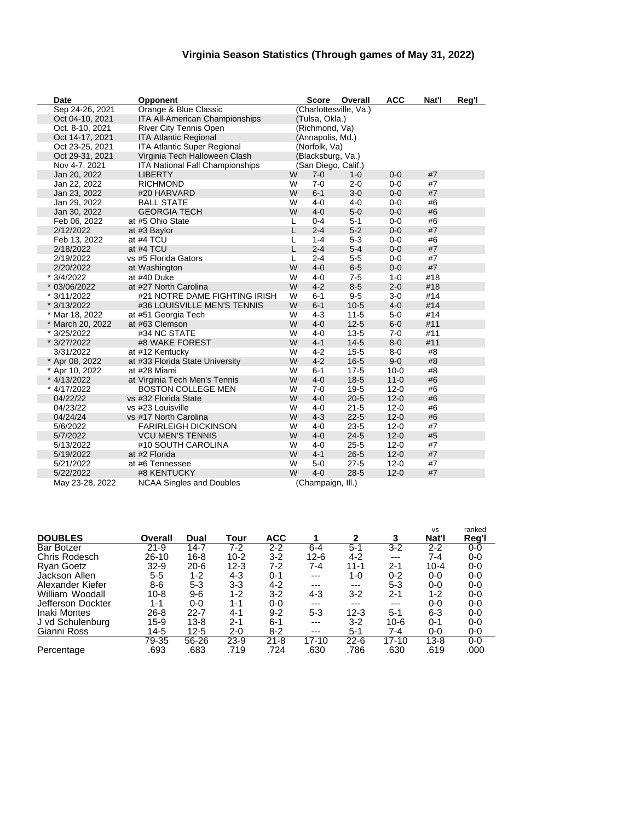### **Virginia Season Statistics (Through games of May 31, 2022)**

| Date             | <b>Opponent</b>                 |   | <b>Score</b>        | Overall                | <b>ACC</b> | Nat'l | Reg'l |
|------------------|---------------------------------|---|---------------------|------------------------|------------|-------|-------|
| Sep 24-26, 2021  | Orange & Blue Classic           |   |                     | (Charlottesville, Va.) |            |       |       |
| Oct 04-10, 2021  | ITA All-American Championships  |   | (Tulsa, Okla.)      |                        |            |       |       |
| Oct. 8-10, 2021  | River City Tennis Open          |   | (Richmond, Va)      |                        |            |       |       |
| Oct 14-17, 2021  | <b>ITA Atlantic Regional</b>    |   | (Annapolis, Md.)    |                        |            |       |       |
| Oct 23-25, 2021  | ITA Atlantic Super Regional     |   | (Norfolk, Va)       |                        |            |       |       |
| Oct 29-31, 2021  | Virginia Tech Halloween Clash   |   | (Blacksburg, Va.)   |                        |            |       |       |
| Nov 4-7, 2021    | ITA National Fall Championships |   | (San Diego, Calif.) |                        |            |       |       |
| Jan 20, 2022     | <b>LIBERTY</b>                  | W | $7 - 0$             | $1 - 0$                | $0 - 0$    | #7    |       |
| Jan 22, 2022     | <b>RICHMOND</b>                 | W | $7 - 0$             | $2 - 0$                | $0-0$      | #7    |       |
| Jan 23, 2022     | #20 HARVARD                     | W | $6 - 1$             | $3-0$                  | $0-0$      | #7    |       |
| Jan 29, 2022     | <b>BALL STATE</b>               | W | $4 - 0$             | $4 - 0$                | $0-0$      | #6    |       |
| Jan 30, 2022     | <b>GEORGIA TECH</b>             | W | $4 - 0$             | $5-0$                  | $0 - 0$    | #6    |       |
| Feb 06, 2022     | at #5 Ohio State                | L | $0 - 4$             | $5 - 1$                | $0-0$      | #6    |       |
| 2/12/2022        | at #3 Baylor                    | L | $2 - 4$             | $5-2$                  | $0 - 0$    | #7    |       |
| Feb 13, 2022     | at #4 TCU                       | L | $1 - 4$             | $5 - 3$                | $0 - 0$    | #6    |       |
| 2/18/2022        | at #4 TCU                       | L | $2 - 4$             | $5-4$                  | $0 - 0$    | #7    |       |
| 2/19/2022        | vs #5 Florida Gators            | L | $2 - 4$             | $5-5$                  | $0 - 0$    | #7    |       |
| 2/20/2022        | at Washington                   | W | $4 - 0$             | $6-5$                  | $0 - 0$    | #7    |       |
| * 3/4/2022       | at #40 Duke                     | W | $4 - 0$             | $7-5$                  | $1 - 0$    | #18   |       |
| * 03/06/2022     | at #27 North Carolina           | W | $4 - 2$             | $8-5$                  | $2 - 0$    | #18   |       |
| * 3/11/2022      | #21 NOTRE DAME FIGHTING IRISH   | W | $6 - 1$             | $9-5$                  | $3-0$      | #14   |       |
| * 3/13/2022      | #36 LOUISVILLE MEN'S TENNIS     | W | $6 - 1$             | $10-5$                 | $4 - 0$    | #14   |       |
| * Mar 18, 2022   | at #51 Georgia Tech             | W | $4 - 3$             | $11 - 5$               | $5-0$      | #14   |       |
| * March 20, 2022 | at #63 Clemson                  | W | $4 - 0$             | $12 - 5$               | $6-0$      | #11   |       |
| * 3/25/2022      | #34 NC STATE                    | W | $4 - 0$             | $13 - 5$               | $7 - 0$    | #11   |       |
| * 3/27/2022      | #8 WAKE FOREST                  | W | $4 - 1$             | $14 - 5$               | $8-0$      | #11   |       |
| 3/31/2022        | at #12 Kentucky                 | W | $4 - 2$             | $15 - 5$               | $8-0$      | #8    |       |
| * Apr 08, 2022   | at #33 Florida State University | W | $4 - 2$             | $16 - 5$               | $9-0$      | #8    |       |
| * Apr 10, 2022   | at #28 Miami                    | W | $6 - 1$             | $17 - 5$               | $10 - 0$   | #8    |       |
| * 4/13/2022      | at Virginia Tech Men's Tennis   | W | $4 - 0$             | $18 - 5$               | $11 - 0$   | #6    |       |
| * 4/17/2022      | <b>BOSTON COLLEGE MEN</b>       | W | $7 - 0$             | $19 - 5$               | $12 - 0$   | #6    |       |
| 04/22/22         | vs #32 Florida State            | W | $4 - 0$             | $20 - 5$               | $12 - 0$   | #6    |       |
| 04/23/22         | vs #23 Louisville               | W | $4 - 0$             | $21 - 5$               | $12 - 0$   | #6    |       |
| 04/24/24         | vs #17 North Carolina           | W | $4 - 3$             | $22 - 5$               | $12 - 0$   | #6    |       |
| 5/6/2022         | <b>FARIRLEIGH DICKINSON</b>     | W | $4 - 0$             | $23 - 5$               | $12 - 0$   | #7    |       |
| 5/7/2022         | <b>VCU MEN'S TENNIS</b>         | W | $4 - 0$             | $24 - 5$               | $12 - 0$   | #5    |       |
| 5/13/2022        | #10 SOUTH CAROLINA              | W | $4 - 0$             | $25 - 5$               | $12 - 0$   | #7    |       |
| 5/19/2022        | at #2 Florida                   | W | $4 - 1$             | $26 - 5$               | $12 - 0$   | #7    |       |
| 5/21/2022        | at #6 Tennessee                 | W | $5-0$               | $27 - 5$               | $12 - 0$   | #7    |       |
| 5/22/2022        | #8 KENTUCKY                     | W | $4 - 0$             | $28 - 5$               | $12 - 0$   | #7    |       |
| May 23-28, 2022  | <b>NCAA Singles and Doubles</b> |   | (Champaign, Ill.)   |                        |            |       |       |

| <b>DOUBLES</b>    | Overall   | Dual     | Tour     | <b>ACC</b> |           | 2        | 3                | <b>VS</b><br>Nat'l | ranked<br>Reg'l |
|-------------------|-----------|----------|----------|------------|-----------|----------|------------------|--------------------|-----------------|
| <b>Bar Botzer</b> | $21 - 9$  | 14-7     | $7-2$    | $2 - 2$    | $6 - 4$   | $5 - 1$  | $\overline{3-2}$ | $2 - 2$            | $0-0$           |
| Chris Rodesch     | $26 - 10$ | $16 - 8$ | $10-2$   | $3-2$      | $12 - 6$  | $4 - 2$  | ---              | 7-4                | $0-0$           |
| <b>Ryan Goetz</b> | $32-9$    | $20-6$   | $12 - 3$ | 7-2        | 7-4       | $11 - 1$ | $2 - 1$          | $10 - 4$           | 0-0             |
| Jackson Allen     | $5 - 5$   | 1-2      | $4 - 3$  | $0 - 1$    | ---       | $1 - 0$  | $0 - 2$          | 0-0                | $0-0$           |
| Alexander Kiefer  | 8-6       | $5 - 3$  | 3-3      | $4 - 2$    | ---       | $---$    | $5 - 3$          | 0-0                | $0-0$           |
| William Woodall   | $10 - 8$  | $9-6$    | 1-2      | $3-2$      | $4 - 3$   | 3-2      | $2 - 1$          | $1 - 2$            | $0-0$           |
| Jefferson Dockter | 1-1       | $0 - 0$  | 1-1      | $0-0$      | ---       | ---      | ---              | 0-0                | $0-0$           |
| Inaki Montes      | $26 - 8$  | 22-7     | $4 - 1$  | $9 - 2$    | $5 - 3$   | $12 - 3$ | $5-1$            | 6-3                | $0-0$           |
| J vd Schulenburg  | $15-9$    | $13 - 8$ | $2 - 1$  | $6 - 1$    | $---$     | $3-2$    | $10 - 6$         | 0-1                | $0-0$           |
| Gianni Ross       | 14-5      | $12 - 5$ | 2-0      | $8 - 2$    | $---$     | $5 - 1$  | 7-4              | 0-0                | $0-0$           |
|                   | 79-35     | 56-26    | $23-9$   | $21 - 8$   | $17 - 10$ | $22 - 6$ | $17 - 10$        | 13-8               | $0-0$           |
| Percentage        | .693      | .683     | .719     | .724       | .630      | .786     | .630             | .619               | .000            |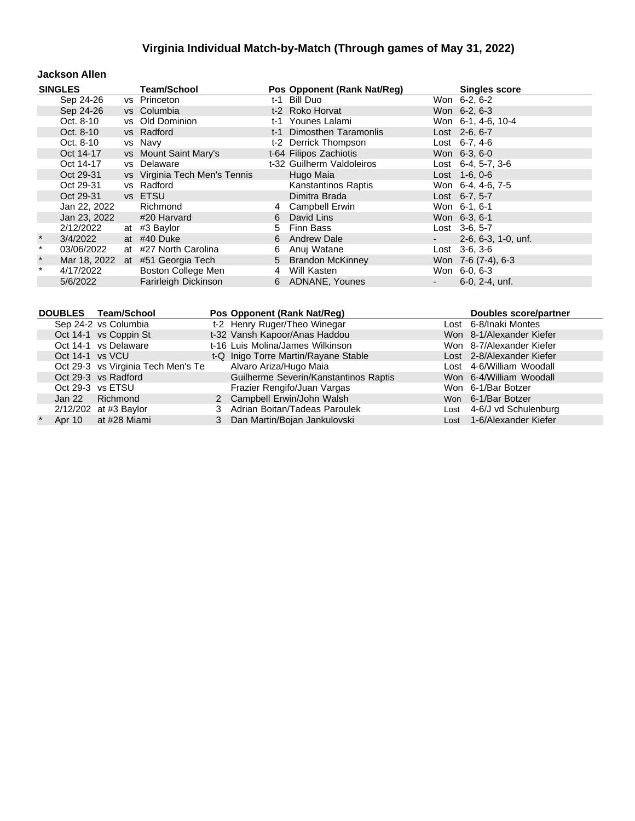#### **Jackson Allen**

|         | <b>SINGLES</b> | <b>Team/School</b>               |     | Pos Opponent (Rank Nat/Reg) | <b>Singles score</b>         |
|---------|----------------|----------------------------------|-----|-----------------------------|------------------------------|
|         | Sep 24-26      | vs Princeton                     | t-1 | Bill Duo                    | Won 6-2, 6-2                 |
|         | Sep 24-26      | vs Columbia                      |     | t-2 Roko Horvat             | Won 6-2, 6-3                 |
|         | Oct. 8-10      | vs Old Dominion                  |     | t-1 Younes Lalami           | Won 6-1, 4-6, 10-4           |
|         | Oct. 8-10      | vs Radford                       |     | t-1 Dimosthen Taramonlis    | Lost 2-6, 6-7                |
|         | Oct. 8-10      | vs Navy                          |     | t-2 Derrick Thompson        | Lost $6-7, 4-6$              |
|         | Oct 14-17      | vs Mount Saint Mary's            |     | t-64 Filipos Zachiotis      | Won 6-3, 6-0                 |
|         | Oct 14-17      | vs Delaware                      |     | t-32 Guilherm Valdoleiros   | Lost $6-4$ , 5-7, 3-6        |
|         | Oct 29-31      | vs Virginia Tech Men's Tennis    |     | Hugo Maia                   | $Last 1-6, 0-6$              |
|         | Oct 29-31      | vs Radford                       |     | Kanstantinos Raptis         | Won 6-4, 4-6, 7-5            |
|         | Oct 29-31      | vs ETSU                          |     | Dimitra Brada               | Lost 6-7, 5-7                |
|         | Jan 22, 2022   | Richmond                         | 4   | <b>Campbell Erwin</b>       | Won 6-1, 6-1                 |
|         | Jan 23, 2022   | #20 Harvard                      | 6   | David Lins                  | Won 6-3, 6-1                 |
|         | 2/12/2022      | at #3 Baylor                     | 5   | Finn Bass                   | Lost 3-6, 5-7                |
| $\star$ | 3/4/2022       | at #40 Duke                      |     | 6 Andrew Dale               | $2-6, 6-3, 1-0, \text{unf.}$ |
| $\star$ | 03/06/2022     | at #27 North Carolina            | 6   | Anuj Watane                 | $Last \, 3-6, 3-6$           |
| $\star$ |                | Mar 18, 2022 at #51 Georgia Tech |     | 5 Brandon McKinney          | Won 7-6 (7-4), 6-3           |
| $\star$ | 4/17/2022      | Boston College Men               | 4   | Will Kasten                 | Won 6-0, 6-3                 |
|         | 5/6/2022       | Farirleigh Dickinson             |     | 6 ADNANE, Younes            | 6-0, 2-4, unf.               |

|                 | DOUBLES Team/School                | Pos Opponent (Rank Nat/Reg)           | <b>Doubles score/partner</b> |
|-----------------|------------------------------------|---------------------------------------|------------------------------|
|                 | Sep 24-2 vs Columbia               | t-2 Henry Ruger/Theo Winegar          | Lost 6-8/Inaki Montes        |
|                 | Oct 14-1 vs Coppin St              | t-32 Vansh Kapoor/Anas Haddou         | Won 8-1/Alexander Kiefer     |
|                 | Oct 14-1 vs Delaware               | t-16 Luis Molina/James Wilkinson      | Won 8-7/Alexander Kiefer     |
| Oct 14-1 vs VCU |                                    | t-Q Inigo Torre Martin/Rayane Stable  | Lost 2-8/Alexander Kiefer    |
|                 | Oct 29-3 vs Virginia Tech Men's Te | Alvaro Ariza/Hugo Maia                | Lost 4-6/William Woodall     |
|                 | Oct 29-3 vs Radford                | Guilherme Severin/Kanstantinos Raptis | Won 6-4/William Woodall      |
|                 | Oct 29-3 vs ETSU                   | Frazier Rengifo/Juan Vargas           | Won 6-1/Bar Botzer           |
|                 | Jan 22 Richmond                    | 2 Campbell Erwin/John Walsh           | Won 6-1/Bar Botzer           |
|                 | $2/12/202$ at #3 Baylor            | 3 Adrian Boitan/Tadeas Paroulek       | Lost 4-6/J vd Schulenburg    |
|                 | Apr 10 at #28 Miami                | Dan Martin/Bojan Jankulovski          | Lost 1-6/Alexander Kiefer    |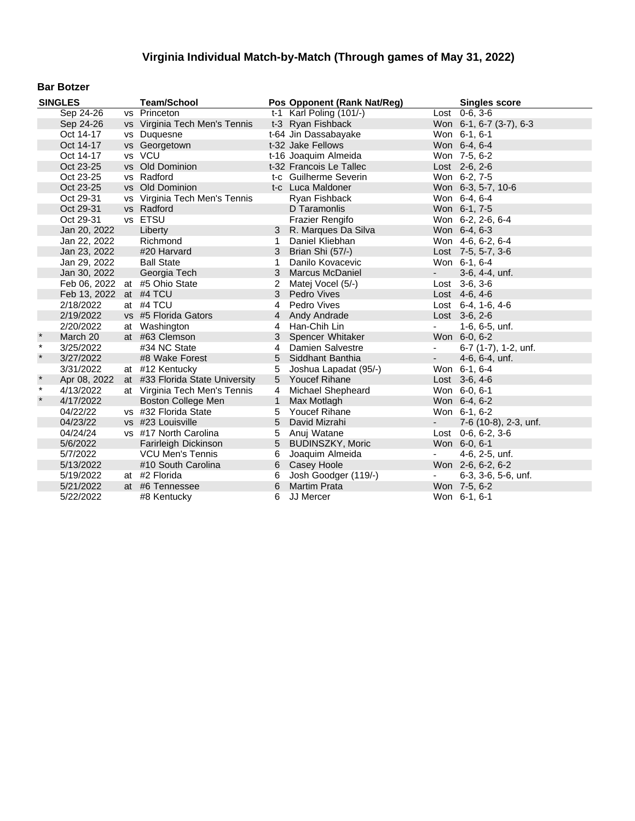#### **Bar Botzer**

|              | <b>SINGLES</b>         | <b>Team/School</b>              |              | Pos Opponent (Rank Nat/Reg) |                          | <b>Singles score</b>         |
|--------------|------------------------|---------------------------------|--------------|-----------------------------|--------------------------|------------------------------|
|              | Sep 24-26              | vs Princeton                    |              | t-1 Karl Poling (101/-)     |                          | $Last 0-6, 3-6$              |
|              | Sep 24-26              | vs Virginia Tech Men's Tennis   |              | t-3 Ryan Fishback           |                          | Won 6-1, 6-7 (3-7), 6-3      |
|              | Oct 14-17              | vs Duquesne                     |              | t-64 Jin Dassabayake        |                          | Won 6-1, 6-1                 |
|              | Oct 14-17              | vs Georgetown                   |              | t-32 Jake Fellows           |                          | Won 6-4, 6-4                 |
|              | Oct 14-17              | vs VCU                          |              | t-16 Joaquim Almeida        |                          | Won 7-5, 6-2                 |
|              | Oct 23-25              | vs Old Dominion                 |              | t-32 Francois Le Tallec     |                          | Lost 2-6, 2-6                |
|              | Oct 23-25              | vs Radford                      |              | t-c Guilherme Severin       |                          | Won 6-2, 7-5                 |
|              | Oct 23-25              | vs Old Dominion                 |              | t-c Luca Maldoner           |                          | Won 6-3, 5-7, 10-6           |
|              | Oct 29-31              | vs Virginia Tech Men's Tennis   |              | Ryan Fishback               |                          | Won 6-4, 6-4                 |
|              | Oct 29-31              | vs Radford                      |              | D Taramonlis                |                          | Won 6-1, 7-5                 |
|              | Oct 29-31              | vs ETSU                         |              | <b>Frazier Rengifo</b>      |                          | Won 6-2, 2-6, 6-4            |
|              | Jan 20, 2022           | Liberty                         |              | 3 R. Marques Da Silva       |                          | Won 6-4, 6-3                 |
|              | Jan 22, 2022           | Richmond                        | $\mathbf{1}$ | Daniel Kliebhan             |                          | Won 4-6, 6-2, 6-4            |
|              | Jan 23, 2022           | #20 Harvard                     |              | 3 Brian Shi (57/-)          |                          | Lost 7-5, 5-7, 3-6           |
|              | Jan 29, 2022           | <b>Ball State</b>               | 1            | Danilo Kovacevic            |                          | Won 6-1, 6-4                 |
|              | Jan 30, 2022           | Georgia Tech                    | 3            | Marcus McDaniel             | $\sim 100$               | 3-6, 4-4, unf.               |
|              |                        | Feb 06, 2022 at #5 Ohio State   | 2            | Matej Vocel (5/-)           |                          | Lost 3-6, 3-6                |
|              | Feb 13, 2022 at #4 TCU |                                 |              | 3 Pedro Vives               |                          | Lost 4-6, 4-6                |
|              | 2/18/2022              | at #4 TCU                       | 4            | Pedro Vives                 |                          | Lost $6-4$ , 1-6, 4-6        |
|              | 2/19/2022              | vs #5 Florida Gators            | 4            | Andy Andrade                |                          | Lost 3-6, 2-6                |
|              | 2/20/2022              | at Washington                   | 4            | Han-Chih Lin                | $\overline{\phantom{a}}$ | 1-6, 6-5, unf.               |
| $\pmb{\ast}$ | March 20               | at #63 Clemson                  | 3            | Spencer Whitaker            |                          | Won 6-0, 6-2                 |
| $\star$      | 3/25/2022              | #34 NC State                    | 4            | Damien Salvestre            | $\blacksquare$           | 6-7 (1-7), 1-2, unf.         |
| $\star$      | 3/27/2022              | #8 Wake Forest                  | 5            | Siddhant Banthia            | $\sim$                   | 4-6, 6-4, unf.               |
|              | 3/31/2022              | at #12 Kentucky                 | 5            | Joshua Lapadat (95/-)       |                          | Won 6-1, 6-4                 |
| $\ast$       | Apr 08, 2022           | at #33 Florida State University | 5            | Youcef Rihane               |                          | Lost $3-6, 4-6$              |
| $\star$      | 4/13/2022              | at Virginia Tech Men's Tennis   | 4            | <b>Michael Shepheard</b>    |                          | Won 6-0, 6-1                 |
| $\star$      | 4/17/2022              | <b>Boston College Men</b>       | $\mathbf{1}$ | Max Motlagh                 |                          | Won 6-4, 6-2                 |
|              | 04/22/22               | vs #32 Florida State            | 5            | <b>Youcef Rihane</b>        |                          | Won 6-1, 6-2                 |
|              | 04/23/22               | vs #23 Louisville               | 5            | David Mizrahi               |                          | 7-6 (10-8), 2-3, unf.        |
|              | 04/24/24               | vs #17 North Carolina           | 5            | Anuj Watane                 |                          | Lost $0-6, 6-2, 3-6$         |
|              | 5/6/2022               | Farirleigh Dickinson            | 5            | <b>BUDINSZKY, Moric</b>     |                          | Won 6-0, 6-1                 |
|              | 5/7/2022               | <b>VCU Men's Tennis</b>         | 6            | Joaquim Almeida             | $\overline{\phantom{a}}$ | 4-6, 2-5, unf.               |
|              | 5/13/2022              | #10 South Carolina              | 6            | Casey Hoole                 |                          | Won 2-6, 6-2, 6-2            |
|              | 5/19/2022              | at #2 Florida                   | 6            | Josh Goodger (119/-)        | $\overline{\phantom{a}}$ | $6-3, 3-6, 5-6, \text{unf.}$ |
|              | 5/21/2022              | at #6 Tennessee                 | 6            | <b>Martim Prata</b>         |                          | Won 7-5, 6-2                 |
|              | 5/22/2022              | #8 Kentucky                     | 6            | JJ Mercer                   |                          | Won 6-1, 6-1                 |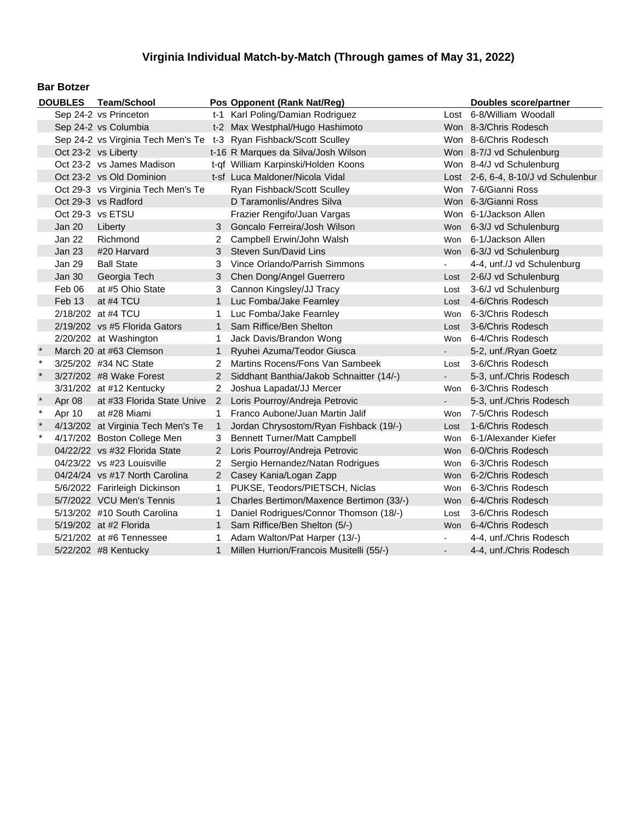#### **Bar Botzer**

|         |                  | DOUBLES Team/School                |                       | Pos Opponent (Rank Nat/Reg)                                        |                | <b>Doubles score/partner</b>        |
|---------|------------------|------------------------------------|-----------------------|--------------------------------------------------------------------|----------------|-------------------------------------|
|         |                  | Sep 24-2 vs Princeton              |                       | t-1 Karl Poling/Damian Rodriguez                                   |                | Lost 6-8/William Woodall            |
|         |                  | Sep 24-2 vs Columbia               |                       | t-2 Max Westphal/Hugo Hashimoto                                    |                | Won 8-3/Chris Rodesch               |
|         |                  |                                    |                       | Sep 24-2 vs Virginia Tech Men's Te t-3 Ryan Fishback/Scott Sculley |                | Won 8-6/Chris Rodesch               |
|         |                  | Oct 23-2 vs Liberty                |                       | t-16 R Marques da Silva/Josh Wilson                                |                | Won 8-7/J vd Schulenburg            |
|         |                  | Oct 23-2 vs James Madison          |                       | t-qf William Karpinski/Holden Koons                                |                | Won 8-4/J vd Schulenburg            |
|         |                  | Oct 23-2 vs Old Dominion           |                       | t-sf Luca Maldoner/Nicola Vidal                                    |                | Lost 2-6, 6-4, 8-10/J vd Schulenbur |
|         |                  | Oct 29-3 vs Virginia Tech Men's Te |                       | Ryan Fishback/Scott Sculley                                        |                | Won 7-6/Gianni Ross                 |
|         |                  | Oct 29-3 vs Radford                |                       | D Taramonlis/Andres Silva                                          |                | Won 6-3/Gianni Ross                 |
|         | Oct 29-3 vs ETSU |                                    |                       | Frazier Rengifo/Juan Vargas                                        |                | Won 6-1/Jackson Allen               |
|         | Jan 20           | Liberty                            | 3                     | Goncalo Ferreira/Josh Wilson                                       |                | Won 6-3/J vd Schulenburg            |
|         | Jan 22           | Richmond                           | 2                     | Campbell Erwin/John Walsh                                          | Won            | 6-1/Jackson Allen                   |
|         | <b>Jan 23</b>    | #20 Harvard                        | 3                     | Steven Sun/David Lins                                              |                | Won 6-3/J vd Schulenburg            |
|         | Jan 29           | <b>Ball State</b>                  | 3                     | Vince Orlando/Parrish Simmons                                      |                | 4-4, unf./J vd Schulenburg          |
|         | <b>Jan 30</b>    | Georgia Tech                       | 3                     | Chen Dong/Angel Guerrero                                           | Lost           | 2-6/J vd Schulenburg                |
|         | Feb 06           | at #5 Ohio State                   | 3                     | Cannon Kingsley/JJ Tracy                                           | Lost           | 3-6/J vd Schulenburg                |
|         | Feb 13           | at #4 TCU                          |                       | Luc Fomba/Jake Fearnley                                            | Lost           | 4-6/Chris Rodesch                   |
|         |                  | 2/18/202 at #4 TCU                 |                       | Luc Fomba/Jake Fearnley                                            | Won            | 6-3/Chris Rodesch                   |
|         |                  | 2/19/202 vs #5 Florida Gators      | $\mathbf 1$           | Sam Riffice/Ben Shelton                                            | Lost           | 3-6/Chris Rodesch                   |
|         |                  | 2/20/202 at Washington             | 1.                    | Jack Davis/Brandon Wong                                            | Won            | 6-4/Chris Rodesch                   |
|         |                  | March 20 at #63 Clemson            | $\mathbf{1}$          | Ryuhei Azuma/Teodor Giusca                                         | $\blacksquare$ | 5-2, unf./Ryan Goetz                |
| $\star$ |                  | 3/25/202 #34 NC State              | 2                     | Martins Rocens/Fons Van Sambeek                                    | Lost           | 3-6/Chris Rodesch                   |
| $\star$ |                  | 3/27/202 #8 Wake Forest            | $\mathbf{2}^{\prime}$ | Siddhant Banthia/Jakob Schnaitter (14/-)                           | ÷.             | 5-3, unf./Chris Rodesch             |
|         |                  | 3/31/202 at #12 Kentucky           | $\overline{2}$        | Joshua Lapadat/JJ Mercer                                           | Won            | 6-3/Chris Rodesch                   |
| $\star$ | Apr 08           | at #33 Florida State Unive         | $2^{\circ}$           | Loris Pourroy/Andreja Petrovic                                     | $\blacksquare$ | 5-3, unf./Chris Rodesch             |
| $\star$ | Apr 10           | at #28 Miami                       | 1.                    | Franco Aubone/Juan Martin Jalif                                    | Won            | 7-5/Chris Rodesch                   |
| $\star$ |                  | 4/13/202 at Virginia Tech Men's Te | $\mathbf{1}$          | Jordan Chrysostom/Ryan Fishback (19/-)                             | Lost           | 1-6/Chris Rodesch                   |
| $\star$ |                  | 4/17/202 Boston College Men        | 3                     | <b>Bennett Turner/Matt Campbell</b>                                | Won            | 6-1/Alexander Kiefer                |
|         |                  | 04/22/22 vs #32 Florida State      | $\overline{2}$        | Loris Pourroy/Andreja Petrovic                                     |                | Won 6-0/Chris Rodesch               |
|         |                  | 04/23/22 vs #23 Louisville         | 2                     | Sergio Hernandez/Natan Rodrigues                                   | Won            | 6-3/Chris Rodesch                   |
|         |                  | 04/24/24 vs #17 North Carolina     | $2^{\circ}$           | Casey Kania/Logan Zapp                                             |                | Won 6-2/Chris Rodesch               |
|         |                  | 5/6/2022 Farirleigh Dickinson      | $\mathbf 1$           | PUKSE, Teodors/PIETSCH, Niclas                                     | Won            | 6-3/Chris Rodesch                   |
|         |                  | 5/7/2022 VCU Men's Tennis          | 1                     | Charles Bertimon/Maxence Bertimon (33/-)                           |                | Won 6-4/Chris Rodesch               |
|         |                  | 5/13/202 #10 South Carolina        | 1.                    | Daniel Rodrigues/Connor Thomson (18/-)                             | Lost           | 3-6/Chris Rodesch                   |
|         |                  | 5/19/202 at #2 Florida             | $\mathbf{1}$          | Sam Riffice/Ben Shelton (5/-)                                      |                | Won 6-4/Chris Rodesch               |
|         |                  | 5/21/202 at #6 Tennessee           | 1.                    | Adam Walton/Pat Harper (13/-)                                      |                | 4-4, unf./Chris Rodesch             |
|         |                  | 5/22/202 #8 Kentucky               | 1                     | Millen Hurrion/Francois Musitelli (55/-)                           |                | 4-4, unf./Chris Rodesch             |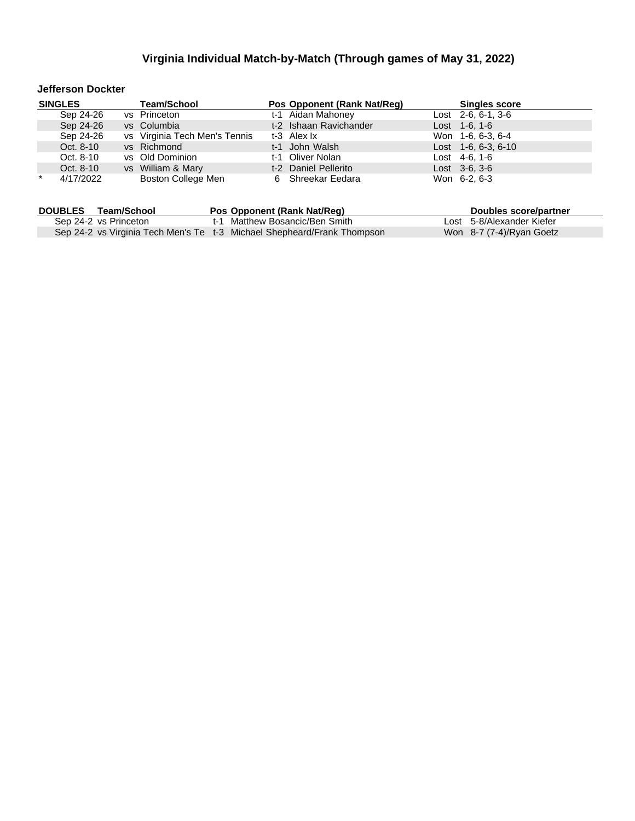#### **Jefferson Dockter**

|         | <b>SINGLES</b> | <b>Team/School</b>            | Pos Opponent (Rank Nat/Reg) | <b>Singles score</b>  |
|---------|----------------|-------------------------------|-----------------------------|-----------------------|
|         | Sep 24-26      | vs Princeton                  | t-1 Aidan Mahoney           | Lost $2-6, 6-1, 3-6$  |
|         | Sep 24-26      | vs Columbia                   | t-2 Ishaan Ravichander      | Lost 1-6, 1-6         |
|         | Sep 24-26      | vs Virginia Tech Men's Tennis | t-3 Alex Ix                 | Won 1-6, 6-3, 6-4     |
|         | Oct. 8-10      | vs Richmond                   | t-1 John Walsh              | Lost $1-6, 6-3, 6-10$ |
|         | Oct. 8-10      | vs Old Dominion               | t-1 Oliver Nolan            | Lost 4-6, 1-6         |
|         | Oct. 8-10      | vs William & Mary             | t-2 Daniel Pellerito        | $Last \, 3-6, 3-6$    |
| $\star$ | 4/17/2022      | Boston College Men            | 6 Shreekar Eedara           | Won 6-2, 6-3          |

| <b>DOUBLES</b> | Team/School           | Pos Opponent (Rank Nat/Req)                                             | Doubles score/partner     |
|----------------|-----------------------|-------------------------------------------------------------------------|---------------------------|
|                | Sep 24-2 vs Princeton | t-1 Matthew Bosancic/Ben Smith                                          | Lost 5-8/Alexander Kiefer |
|                |                       | Sep 24-2 vs Virginia Tech Men's Te t-3 Michael Shepheard/Frank Thompson | Won 8-7 (7-4)/Ryan Goetz  |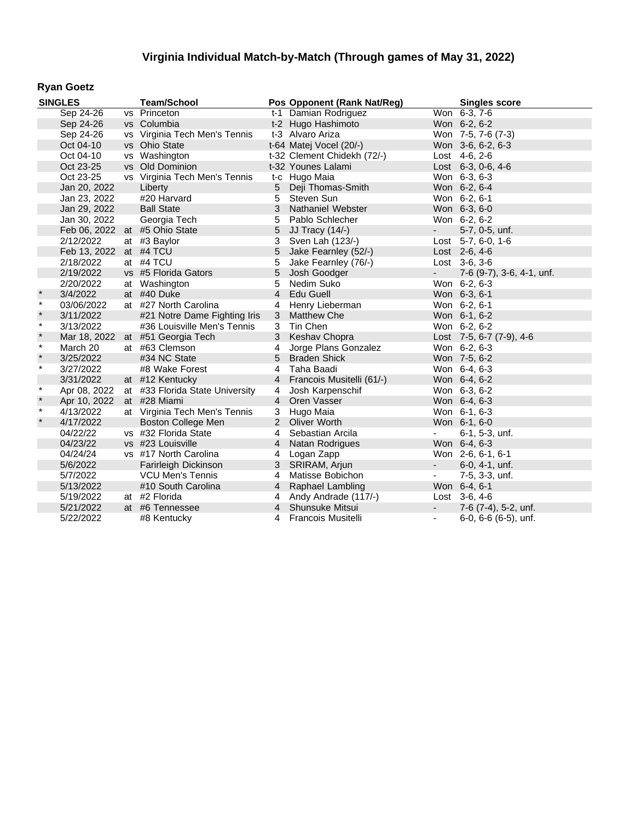### **Ryan Goetz**

|         | <b>SINGLES</b> | <b>Team/School</b>               |                | Pos Opponent (Rank Nat/Reg) |                          | <b>Singles score</b>       |
|---------|----------------|----------------------------------|----------------|-----------------------------|--------------------------|----------------------------|
|         | Sep 24-26      | vs Princeton                     |                | t-1 Damian Rodriguez        |                          | $\overline{W}$ on 6-3, 7-6 |
|         | Sep 24-26      | vs Columbia                      |                | t-2 Hugo Hashimoto          |                          | Won 6-2, 6-2               |
|         | Sep 24-26      | vs Virginia Tech Men's Tennis    |                | t-3 Alvaro Ariza            |                          | Won 7-5, 7-6 (7-3)         |
|         | Oct 04-10      | vs Ohio State                    |                | t-64 Matej Vocel (20/-)     |                          | Won 3-6, 6-2, 6-3          |
|         | Oct 04-10      | vs Washington                    |                | t-32 Clement Chidekh (72/-) |                          | Lost 4-6, 2-6              |
|         | Oct 23-25      | vs Old Dominion                  |                | t-32 Younes Lalami          |                          | Lost 6-3, 0-6, 4-6         |
|         | Oct 23-25      | vs Virginia Tech Men's Tennis    |                | t-c Hugo Maia               |                          | Won 6-3, 6-3               |
|         | Jan 20, 2022   | Liberty                          |                | 5 Deji Thomas-Smith         |                          | Won 6-2, 6-4               |
|         | Jan 23, 2022   | #20 Harvard                      | 5              | Steven Sun                  |                          | Won 6-2, 6-1               |
|         | Jan 29, 2022   | <b>Ball State</b>                |                | 3 Nathaniel Webster         |                          | Won 6-3, 6-0               |
|         | Jan 30, 2022   | Georgia Tech                     | 5              | Pablo Schlecher             |                          | Won 6-2, 6-2               |
|         |                | Feb 06, 2022 at #5 Ohio State    | 5              | JJ Tracy $(14/-)$           | $\sim 100$               | 5-7, 0-5, unf.             |
|         | 2/12/2022      | at #3 Baylor                     | 3              | Sven Lah (123/-)            |                          | Lost $5-7, 6-0, 1-6$       |
|         | Feb 13, 2022   | at #4 TCU                        | 5              | Jake Fearnley (52/-)        |                          | Lost 2-6, 4-6              |
|         | 2/18/2022      | at #4 TCU                        | 5              | Jake Fearnley (76/-)        |                          | Lost 3-6, 3-6              |
|         | 2/19/2022      | vs #5 Florida Gators             | 5              | Josh Goodger                | $\sim$                   | 7-6 (9-7), 3-6, 4-1, unf.  |
|         | 2/20/2022      | at Washington                    | 5              | Nedim Suko                  |                          | Won 6-2, 6-3               |
| $\star$ | 3/4/2022       | at #40 Duke                      | $\overline{4}$ | <b>Edu Guell</b>            |                          | Won 6-3, 6-1               |
| $\star$ | 03/06/2022     | at #27 North Carolina            | 4              | Henry Lieberman             |                          | Won 6-2, 6-1               |
| $\star$ | 3/11/2022      | #21 Notre Dame Fighting Iris     | 3              | <b>Matthew Che</b>          |                          | Won 6-1, 6-2               |
| $\star$ | 3/13/2022      | #36 Louisville Men's Tennis      |                | 3 Tin Chen                  |                          | Won 6-2, 6-2               |
| $\star$ |                | Mar 18, 2022 at #51 Georgia Tech |                | 3 Keshav Chopra             |                          | Lost 7-5, 6-7 (7-9), 4-6   |
| $\ast$  | March 20       | at #63 Clemson                   |                | 4 Jorge Plans Gonzalez      |                          | Won 6-2, 6-3               |
| $\star$ | 3/25/2022      | #34 NC State                     |                | 5 Braden Shick              |                          | Won 7-5, 6-2               |
| $\star$ | 3/27/2022      | #8 Wake Forest                   | 4              | Taha Baadi                  |                          | Won 6-4, 6-3               |
|         | 3/31/2022      | at #12 Kentucky                  |                | 4 Francois Musitelli (61/-) |                          | Won 6-4, 6-2               |
| $\star$ | Apr 08, 2022   | at #33 Florida State University  | 4              | Josh Karpenschif            |                          | Won 6-3, 6-2               |
| $\star$ | Apr 10, 2022   | at #28 Miami                     |                | 4 Oren Vasser               |                          | Won 6-4, 6-3               |
| $\star$ | 4/13/2022      | at Virginia Tech Men's Tennis    |                | 3 Hugo Maia                 |                          | Won 6-1, 6-3               |
| $\star$ | 4/17/2022      | <b>Boston College Men</b>        |                | 2 Oliver Worth              |                          | Won 6-1, 6-0               |
|         | 04/22/22       | vs #32 Florida State             |                | 4 Sebastian Arcila          |                          | 6-1, 5-3, unf.             |
|         | 04/23/22       | vs #23 Louisville                |                | 4 Natan Rodrigues           |                          | Won 6-4, 6-3               |
|         | 04/24/24       | vs #17 North Carolina            | 4              | Logan Zapp                  |                          | Won 2-6, 6-1, 6-1          |
|         | 5/6/2022       | Farirleigh Dickinson             |                | 3 SRIRAM, Arjun             | $\sim 10$                | $6-0, 4-1, \text{unf.}$    |
|         | 5/7/2022       | <b>VCU Men's Tennis</b>          | $\overline{4}$ | Matisse Bobichon            | $\overline{\phantom{a}}$ | 7-5, 3-3, unf.             |
|         | 5/13/2022      | #10 South Carolina               |                | 4 Raphael Lambling          |                          | Won 6-4, 6-1               |
|         | 5/19/2022      | at #2 Florida                    |                | 4 Andy Andrade (117/-)      |                          | Lost $3-6, 4-6$            |
|         | 5/21/2022      | at #6 Tennessee                  |                | 4 Shunsuke Mitsui           | $\sim$                   | 7-6 (7-4), 5-2, unf.       |
|         | 5/22/2022      | #8 Kentucky                      |                | 4 Francois Musitelli        | $\blacksquare$           | $6-0, 6-6$ $(6-5)$ , unf.  |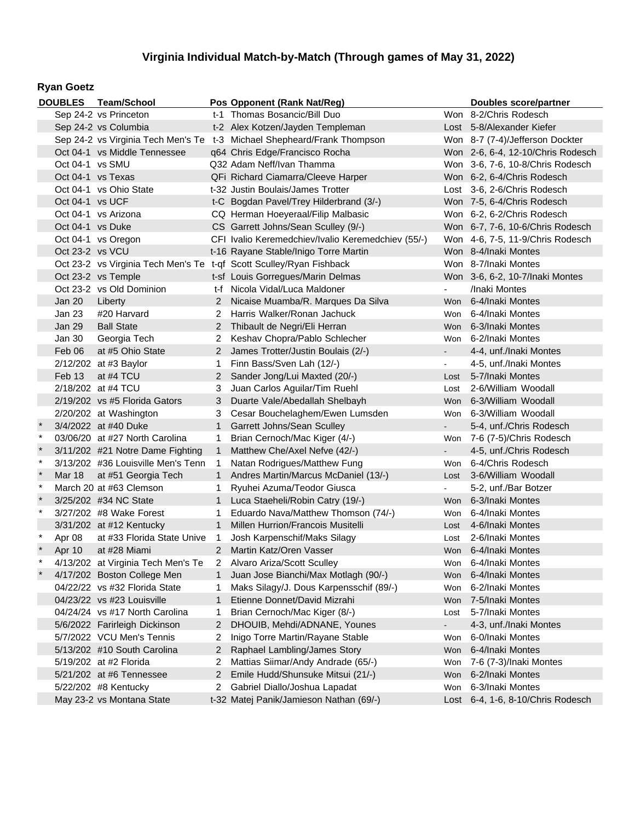### **Ryan Goetz**

|         |                   | DOUBLES Team/School                |                       | Pos Opponent (Rank Nat/Reg)                                             |                | Doubles score/partner             |
|---------|-------------------|------------------------------------|-----------------------|-------------------------------------------------------------------------|----------------|-----------------------------------|
|         |                   | Sep 24-2 vs Princeton              |                       | t-1 Thomas Bosancic/Bill Duo                                            |                | Won 8-2/Chris Rodesch             |
|         |                   | Sep 24-2 vs Columbia               |                       | t-2 Alex Kotzen/Jayden Templeman                                        |                | Lost 5-8/Alexander Kiefer         |
|         |                   |                                    |                       | Sep 24-2 vs Virginia Tech Men's Te t-3 Michael Shepheard/Frank Thompson |                | Won 8-7 (7-4)/Jefferson Dockter   |
|         |                   | Oct 04-1 vs Middle Tennessee       |                       | q64 Chris Edge/Francisco Rocha                                          |                | Won 2-6, 6-4, 12-10/Chris Rodesch |
|         | Oct 04-1 vs SMU   |                                    |                       | Q32 Adam Neff/Ivan Thamma                                               |                | Won 3-6, 7-6, 10-8/Chris Rodesch  |
|         | Oct 04-1 vs Texas |                                    |                       | QFi Richard Ciamarra/Cleeve Harper                                      |                | Won 6-2, 6-4/Chris Rodesch        |
|         |                   | Oct 04-1 vs Ohio State             |                       | t-32 Justin Boulais/James Trotter                                       |                | Lost 3-6, 2-6/Chris Rodesch       |
|         | Oct 04-1 vs UCF   |                                    |                       | t-C Bogdan Pavel/Trey Hilderbrand (3/-)                                 |                | Won 7-5, 6-4/Chris Rodesch        |
|         |                   | Oct 04-1 vs Arizona                |                       | CQ Herman Hoeyeraal/Filip Malbasic                                      |                | Won 6-2, 6-2/Chris Rodesch        |
|         | Oct 04-1 vs Duke  |                                    |                       | CS Garrett Johns/Sean Sculley (9/-)                                     |                | Won 6-7, 7-6, 10-6/Chris Rodesch  |
|         |                   | Oct 04-1 vs Oregon                 |                       | CFI Ivalio Keremedchiev/Ivalio Keremedchiev (55/-)                      |                | Won 4-6, 7-5, 11-9/Chris Rodesch  |
|         | Oct 23-2 vs VCU   |                                    |                       | t-16 Rayane Stable/Inigo Torre Martin                                   |                | Won 8-4/Inaki Montes              |
|         |                   |                                    |                       | Oct 23-2 vs Virginia Tech Men's Te t-qf Scott Sculley/Ryan Fishback     |                | Won 8-7/Inaki Montes              |
|         |                   | Oct 23-2 vs Temple                 |                       | t-sf Louis Gorregues/Marin Delmas                                       |                | Won 3-6, 6-2, 10-7/Inaki Montes   |
|         |                   | Oct 23-2 vs Old Dominion           |                       | t-f Nicola Vidal/Luca Maldoner                                          |                | /Inaki Montes                     |
|         | <b>Jan 20</b>     | Liberty                            |                       | 2 Nicaise Muamba/R. Marques Da Silva                                    | <b>Won</b>     | 6-4/Inaki Montes                  |
|         | Jan 23            | #20 Harvard                        | 2                     | Harris Walker/Ronan Jachuck                                             | Won            | 6-4/Inaki Montes                  |
|         | <b>Jan 29</b>     | <b>Ball State</b>                  |                       | 2 Thibault de Negri/Eli Herran                                          | Won            | 6-3/Inaki Montes                  |
|         | Jan 30            | Georgia Tech                       | 2                     | Keshav Chopra/Pablo Schlecher                                           | Won            | 6-2/Inaki Montes                  |
|         | Feb 06            | at #5 Ohio State                   | $2^{\circ}$           | James Trotter/Justin Boulais (2/-)                                      |                | 4-4, unf./Inaki Montes            |
|         |                   | 2/12/202 at #3 Baylor              | 1                     | Finn Bass/Sven Lah (12/-)                                               |                | 4-5, unf./Inaki Montes            |
|         | Feb 13            | at #4 TCU                          | 2                     | Sander Jong/Lui Maxted (20/-)                                           | Lost           | 5-7/Inaki Montes                  |
|         |                   | 2/18/202 at #4 TCU                 | 3                     | Juan Carlos Aguilar/Tim Ruehl                                           | Lost           | 2-6/William Woodall               |
|         |                   | 2/19/202 vs #5 Florida Gators      | 3                     | Duarte Vale/Abedallah Shelbayh                                          | Won            | 6-3/William Woodall               |
|         |                   | 2/20/202 at Washington             | 3                     | Cesar Bouchelaghem/Ewen Lumsden                                         | Won            | 6-3/William Woodall               |
|         |                   | 3/4/2022 at #40 Duke               | $\mathbf{1}$          | Garrett Johns/Sean Sculley                                              |                | 5-4, unf./Chris Rodesch           |
| $\ast$  |                   | 03/06/20 at #27 North Carolina     | 1                     | Brian Cernoch/Mac Kiger (4/-)                                           | Won            | 7-6 (7-5)/Chris Rodesch           |
| $\ast$  |                   | 3/11/202 #21 Notre Dame Fighting   | $\mathbf{1}$          | Matthew Che/Axel Nefve (42/-)                                           |                | 4-5, unf./Chris Rodesch           |
| $\star$ |                   | 3/13/202 #36 Louisville Men's Tenn | 1                     | Natan Rodrigues/Matthew Fung                                            | Won            | 6-4/Chris Rodesch                 |
| $\star$ | Mar 18            | at #51 Georgia Tech                | $\mathbf{1}$          | Andres Martin/Marcus McDaniel (13/-)                                    | Lost           | 3-6/William Woodall               |
| $\star$ |                   | March 20 at #63 Clemson            | 1                     | Ryuhei Azuma/Teodor Giusca                                              |                | 5-2, unf./Bar Botzer              |
|         |                   | 3/25/202 #34 NC State              | $\mathbf{1}$          | Luca Staeheli/Robin Catry (19/-)                                        | Won            | 6-3/Inaki Montes                  |
| $\star$ |                   | 3/27/202 #8 Wake Forest            | 1                     | Eduardo Nava/Matthew Thomson (74/-)                                     | Won            | 6-4/Inaki Montes                  |
|         |                   | 3/31/202 at #12 Kentucky           | $\mathbf{1}$          | <b>Millen Hurrion/Francois Musitelli</b>                                | Lost           | 4-6/Inaki Montes                  |
| $\ast$  | Apr 08            | at #33 Florida State Unive         | 1                     | Josh Karpenschif/Maks Silagy                                            | Lost           | 2-6/Inaki Montes                  |
|         | Apr 10            | at #28 Miami                       | $2^{\circ}$           | Martin Katz/Oren Vasser                                                 |                | Won 6-4/Inaki Montes              |
|         |                   | 4/13/202 at Virginia Tech Men's Te | $\overline{a}$        | Alvaro Ariza/Scott Sculley                                              | Won            | 6-4/Inaki Montes                  |
|         |                   | 4/17/202 Boston College Men        |                       | Juan Jose Bianchi/Max Motlagh (90/-)                                    | Won            | 6-4/Inaki Montes                  |
|         |                   | 04/22/22 vs #32 Florida State      | 1                     | Maks Silagy/J. Dous Karpensschif (89/-)                                 | Won            | 6-2/Inaki Montes                  |
|         |                   | 04/23/22 vs #23 Louisville         | 1                     | Etienne Donnet/David Mizrahi                                            | Won            | 7-5/Inaki Montes                  |
|         |                   | 04/24/24 vs #17 North Carolina     | 1                     | Brian Cernoch/Mac Kiger (8/-)                                           | Lost           | 5-7/Inaki Montes                  |
|         |                   | 5/6/2022 Farirleigh Dickinson      | $\overline{2}$        | DHOUIB, Mehdi/ADNANE, Younes                                            | $\blacksquare$ | 4-3, unf./Inaki Montes            |
|         |                   | 5/7/2022 VCU Men's Tennis          | 2                     | Inigo Torre Martin/Rayane Stable                                        | Won            | 6-0/Inaki Montes                  |
|         |                   | 5/13/202 #10 South Carolina        | 2                     | Raphael Lambling/James Story                                            | Won            | 6-4/Inaki Montes                  |
|         |                   | 5/19/202 at #2 Florida             | 2                     | Mattias Siimar/Andy Andrade (65/-)                                      | Won            | 7-6 (7-3)/Inaki Montes            |
|         |                   | 5/21/202 at #6 Tennessee           | $\mathbf{2}^{\prime}$ | Emile Hudd/Shunsuke Mitsui (21/-)                                       | Won            | 6-2/Inaki Montes                  |
|         |                   | 5/22/202 #8 Kentucky               | 2                     | Gabriel Diallo/Joshua Lapadat                                           | Won            | 6-3/Inaki Montes                  |
|         |                   | May 23-2 vs Montana State          |                       | t-32 Matej Panik/Jamieson Nathan (69/-)                                 |                | Lost 6-4, 1-6, 8-10/Chris Rodesch |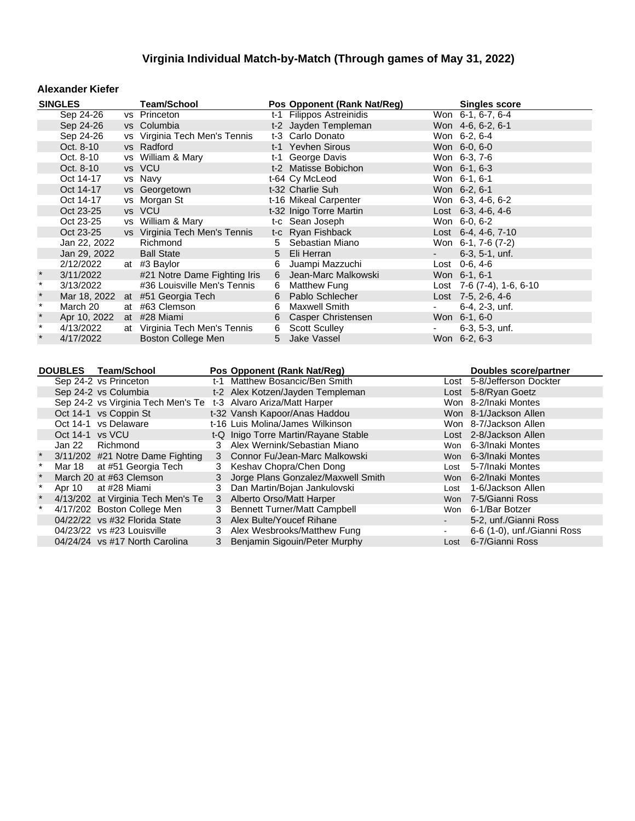#### **Alexander Kiefer**

| <b>SINGLES</b>                                                                                      |                                               |  | <b>Team/School</b>               |   | Pos Opponent (Rank Nat/Reg)                                        |            | <b>Singles score</b>                                 |  |
|-----------------------------------------------------------------------------------------------------|-----------------------------------------------|--|----------------------------------|---|--------------------------------------------------------------------|------------|------------------------------------------------------|--|
|                                                                                                     | Sep 24-26                                     |  | vs Princeton                     |   | t-1 Filippos Astreinidis                                           |            | Won 6-1, 6-7, 6-4                                    |  |
|                                                                                                     | Sep 24-26                                     |  | vs Columbia                      |   | t-2 Jayden Templeman                                               |            | Won 4-6, 6-2, 6-1                                    |  |
|                                                                                                     | Sep 24-26                                     |  | vs Virginia Tech Men's Tennis    |   | t-3 Carlo Donato                                                   |            | Won 6-2, 6-4                                         |  |
|                                                                                                     | Oct. 8-10                                     |  | vs Radford                       |   | t-1 Yevhen Sirous                                                  |            | Won 6-0, 6-0                                         |  |
|                                                                                                     | Oct. 8-10                                     |  | vs William & Mary                |   | t-1 George Davis                                                   |            | Won 6-3, 7-6                                         |  |
|                                                                                                     | Oct. 8-10                                     |  | vs VCU                           |   | t-2 Matisse Bobichon                                               |            | Won 6-1, 6-3                                         |  |
|                                                                                                     | Oct 14-17                                     |  | vs Navy                          |   | t-64 Cy McLeod                                                     |            | Won 6-1, 6-1                                         |  |
|                                                                                                     | Oct 14-17                                     |  | vs Georgetown                    |   | t-32 Charlie Suh                                                   |            | Won 6-2, 6-1                                         |  |
|                                                                                                     | Oct 14-17                                     |  | vs Morgan St                     |   | t-16 Mikeal Carpenter                                              |            | Won 6-3, 4-6, 6-2                                    |  |
|                                                                                                     | Oct 23-25                                     |  | vs VCU                           |   | t-32 Inigo Torre Martin                                            |            | Lost $6-3$ , $4-6$ , $4-6$                           |  |
|                                                                                                     | Oct 23-25                                     |  | vs William & Mary                |   | t-c Sean Joseph                                                    |            | Won 6-0, 6-2                                         |  |
|                                                                                                     | Oct 23-25                                     |  | vs Virginia Tech Men's Tennis    |   | t-c Ryan Fishback                                                  |            | Lost 6-4, 4-6, 7-10                                  |  |
|                                                                                                     | Jan 22, 2022                                  |  | Richmond                         |   | 5 Sebastian Miano                                                  |            | Won 6-1, 7-6 (7-2)                                   |  |
|                                                                                                     | Jan 29, 2022                                  |  | <b>Ball State</b>                |   | 5 Eli Herran                                                       | $\sim 100$ | $6-3, 5-1, \text{unf.}$                              |  |
|                                                                                                     | 2/12/2022                                     |  | at #3 Baylor                     | 6 | Juampi Mazzuchi                                                    |            | Lost $0-6, 4-6$                                      |  |
| $\ast$                                                                                              | 3/11/2022                                     |  | #21 Notre Dame Fighting Iris     |   | 6 Jean-Marc Malkowski                                              |            | Won 6-1, 6-1                                         |  |
| $\star$                                                                                             | 3/13/2022                                     |  | #36 Louisville Men's Tennis      |   | 6 Matthew Fung                                                     |            | Lost 7-6 (7-4), 1-6, 6-10                            |  |
| $\ast$                                                                                              |                                               |  | Mar 18, 2022 at #51 Georgia Tech |   | 6 Pablo Schlecher                                                  |            | Lost $7-5$ , 2-6, 4-6                                |  |
| $\star$                                                                                             | March 20                                      |  | at #63 Clemson                   | 6 | Maxwell Smith                                                      |            | 6-4, 2-3, unf.                                       |  |
| $\star$                                                                                             | Apr 10, 2022                                  |  | at #28 Miami                     | 6 | Casper Christensen                                                 |            | Won 6-1, 6-0                                         |  |
| $\star$                                                                                             | 4/13/2022                                     |  | at Virginia Tech Men's Tennis    | 6 | <b>Scott Sculley</b>                                               | -          | $6-3, 5-3, \text{unf.}$                              |  |
|                                                                                                     | 4/17/2022                                     |  | Boston College Men               |   | 5 Jake Vassel                                                      |            | Won 6-2, 6-3                                         |  |
|                                                                                                     |                                               |  |                                  |   |                                                                    |            |                                                      |  |
|                                                                                                     |                                               |  |                                  |   |                                                                    |            |                                                      |  |
| Pos Opponent (Rank Nat/Reg)<br><b>DOUBLES</b><br><b>Team/School</b><br><b>Doubles score/partner</b> |                                               |  |                                  |   |                                                                    |            |                                                      |  |
|                                                                                                     | Sep 24-2 vs Princeton<br>Son 24.2 vs Columbia |  |                                  |   | t-1 Matthew Bosancic/Ben Smith<br>t 2 Alox Kotzon/Jaydan Tamplaman |            | Lost 5-8/Jefferson Dockter<br>$Inat E Q/D and Coatz$ |  |

|         |                 | Sep 24-2 vs Princeton                                           | t-1 Matthew Bosancic/Ben Smith       |      | Lost 5-8/Jefferson Dockter  |
|---------|-----------------|-----------------------------------------------------------------|--------------------------------------|------|-----------------------------|
|         |                 | Sep 24-2 vs Columbia                                            | t-2 Alex Kotzen/Jayden Templeman     |      | Lost 5-8/Ryan Goetz         |
|         |                 | Sep 24-2 vs Virginia Tech Men's Te t-3 Alvaro Ariza/Matt Harper |                                      |      | Won 8-2/Inaki Montes        |
|         |                 | Oct 14-1 vs Coppin St                                           | t-32 Vansh Kapoor/Anas Haddou        |      | Won 8-1/Jackson Allen       |
|         |                 | Oct 14-1 vs Delaware                                            | t-16 Luis Molina/James Wilkinson     |      | Won 8-7/Jackson Allen       |
|         | Oct 14-1 vs VCU |                                                                 | t-Q Inigo Torre Martin/Rayane Stable |      | Lost 2-8/Jackson Allen      |
|         |                 | Jan 22 Richmond                                                 | 3 Alex Wernink/Sebastian Miano       |      | Won 6-3/Inaki Montes        |
|         |                 | 3/11/202 #21 Notre Dame Fighting                                | 3 Connor Fu/Jean-Marc Malkowski      |      | Won 6-3/Inaki Montes        |
|         |                 | Mar 18 at #51 Georgia Tech                                      | 3 Keshav Chopra/Chen Dong            |      | Lost 5-7/Inaki Montes       |
|         |                 | March 20 at #63 Clemson                                         | 3 Jorge Plans Gonzalez/Maxwell Smith |      | Won 6-2/Inaki Montes        |
|         |                 | Apr 10 at #28 Miami                                             | 3 Dan Martin/Bojan Jankulovski       |      | Lost 1-6/Jackson Allen      |
| $\star$ |                 | 4/13/202 at Virginia Tech Men's Te                              | 3 Alberto Orso/Matt Harper           |      | Won 7-5/Gianni Ross         |
| $\star$ |                 | 4/17/202 Boston College Men                                     | 3 Bennett Turner/Matt Campbell       |      | Won 6-1/Bar Botzer          |
|         |                 | 04/22/22 vs #32 Florida State                                   | 3 Alex Bulte/Youcef Rihane           |      | 5-2, unf./Gianni Ross       |
|         |                 | 04/23/22 vs #23 Louisville                                      | 3 Alex Wesbrooks/Matthew Fung        |      | 6-6 (1-0), unf./Gianni Ross |
|         |                 | 04/24/24 vs #17 North Carolina                                  | 3 Benjamin Sigouin/Peter Murphy      | Lost | 6-7/Gianni Ross             |
|         |                 |                                                                 |                                      |      |                             |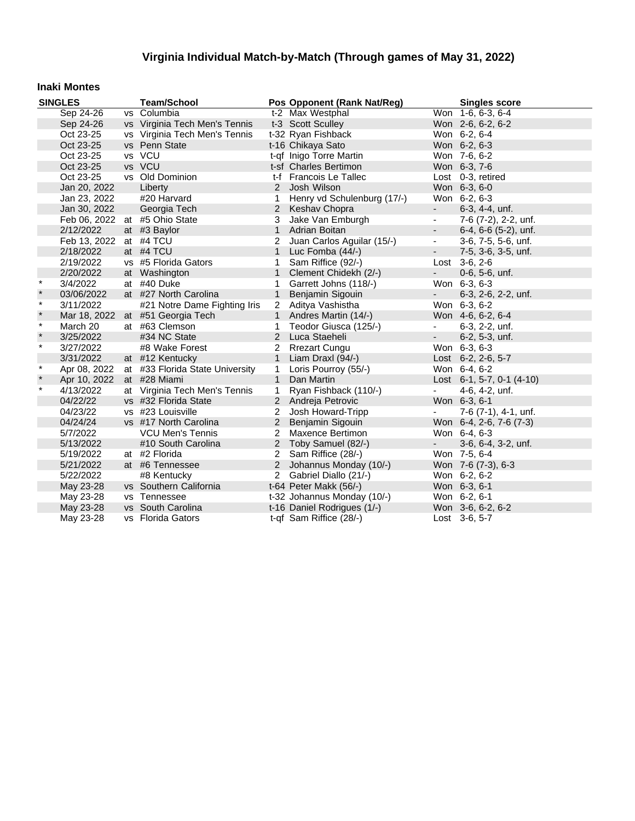#### **Inaki Montes**

| <b>SINGLES</b> |              | <b>Team/School</b>               |                | Pos Opponent (Rank Nat/Reg) | <b>Singles score</b>     |                                |
|----------------|--------------|----------------------------------|----------------|-----------------------------|--------------------------|--------------------------------|
|                | Sep 24-26    | vs Columbia                      |                | t-2 Max Westphal            |                          | Won $1-6, 6-3, 6-4$            |
|                | Sep 24-26    | vs Virginia Tech Men's Tennis    |                | t-3 Scott Sculley           |                          | Won 2-6, 6-2, 6-2              |
|                | Oct 23-25    | vs Virginia Tech Men's Tennis    |                | t-32 Ryan Fishback          |                          | Won 6-2, 6-4                   |
|                | Oct 23-25    | vs Penn State                    |                | t-16 Chikaya Sato           |                          | Won 6-2, 6-3                   |
|                | Oct 23-25    | vs VCU                           |                | t-qf Inigo Torre Martin     |                          | Won 7-6, 6-2                   |
|                | Oct 23-25    | vs VCU                           |                | t-sf Charles Bertimon       |                          | Won 6-3, 7-6                   |
|                | Oct 23-25    | vs Old Dominion                  |                | t-f Francois Le Tallec      |                          | Lost 0-3, retired              |
|                | Jan 20, 2022 | Liberty                          |                | 2 Josh Wilson               |                          | Won 6-3, 6-0                   |
|                | Jan 23, 2022 | #20 Harvard                      | $\mathbf{1}$   | Henry vd Schulenburg (17/-) |                          | Won 6-2, 6-3                   |
|                | Jan 30, 2022 | Georgia Tech                     |                | 2 Keshav Chopra             | $\sim 100$               | $6-3, 4-4, \text{unf.}$        |
|                |              | Feb 06, 2022 at #5 Ohio State    | 3              | Jake Van Emburgh            | $\blacksquare$           | 7-6 (7-2), 2-2, unf.           |
|                | 2/12/2022    | at #3 Baylor                     | $\mathbf{1}$   | Adrian Boitan               | $\overline{\phantom{a}}$ | $6-4, 6-6$ $(5-2)$ , unf.      |
|                | Feb 13, 2022 | at #4 TCU                        | 2              | Juan Carlos Aguilar (15/-)  | $\blacksquare$           | 3-6, 7-5, 5-6, unf.            |
|                | 2/18/2022    | at #4 TCU                        | $\mathbf{1}$   | Luc Fomba (44/-)            | $\sim 100$               | 7-5, 3-6, 3-5, unf.            |
|                | 2/19/2022    | vs #5 Florida Gators             | $\mathbf{1}$   | Sam Riffice (92/-)          |                          | Lost 3-6, 2-6                  |
|                | 2/20/2022    | at Washington                    | $\mathbf{1}$   | Clement Chidekh (2/-)       | $\sim$                   | 0-6, 5-6, unf.                 |
| $\star$        | 3/4/2022     | at #40 Duke                      | 1              | Garrett Johns (118/-)       |                          | Won 6-3, 6-3                   |
| $\ast$         | 03/06/2022   | at #27 North Carolina            | $\mathbf{1}$   | Benjamin Sigouin            | $\sim$                   | 6-3, 2-6, 2-2, unf.            |
| $\star$        | 3/11/2022    | #21 Notre Dame Fighting Iris     |                | 2 Aditya Vashistha          |                          | Won 6-3, 6-2                   |
| $\star$        |              | Mar 18, 2022 at #51 Georgia Tech |                | 1 Andres Martin (14/-)      |                          | Won 4-6, 6-2, 6-4              |
| $\star$        | March 20     | at #63 Clemson                   | $\mathbf{1}$   | Teodor Giusca (125/-)       | $\sim$                   | 6-3, 2-2, unf.                 |
| $\star$        | 3/25/2022    | #34 NC State                     |                | 2 Luca Staeheli             | $\sim 100$               | 6-2, 5-3, unf.                 |
| $\star$        | 3/27/2022    | #8 Wake Forest                   |                | 2 Rrezart Cungu             |                          | Won 6-3, 6-3                   |
|                | 3/31/2022    | at #12 Kentucky                  | $\mathbf{1}$   | Liam Draxl (94/-)           |                          | Lost 6-2, 2-6, 5-7             |
| $\star$        | Apr 08, 2022 | at #33 Florida State University  | $\mathbf{1}$   | Loris Pourroy (55/-)        |                          | Won 6-4, 6-2                   |
|                | Apr 10, 2022 | at #28 Miami                     | $\mathbf{1}$   | Dan Martin                  |                          | Lost $6-1$ , 5-7, 0-1 $(4-10)$ |
| $\ast$         | 4/13/2022    | at Virginia Tech Men's Tennis    | $\mathbf{1}$   | Ryan Fishback (110/-)       |                          | 4-6, 4-2, unf.                 |
|                | 04/22/22     | vs #32 Florida State             |                | 2 Andreja Petrovic          |                          | Won 6-3, 6-1                   |
|                | 04/23/22     | vs #23 Louisville                | $\overline{2}$ | Josh Howard-Tripp           |                          | 7-6 (7-1), 4-1, unf.           |
|                | 04/24/24     | vs #17 North Carolina            |                | 2 Benjamin Sigouin          |                          | Won 6-4, 2-6, 7-6 (7-3)        |
|                | 5/7/2022     | <b>VCU Men's Tennis</b>          | $\overline{2}$ | Maxence Bertimon            |                          | Won 6-4, 6-3                   |
|                | 5/13/2022    | #10 South Carolina               | $\overline{2}$ | Toby Samuel (82/-)          | $\blacksquare$           | 3-6, 6-4, 3-2, unf.            |
|                | 5/19/2022    | at #2 Florida                    | $\overline{2}$ | Sam Riffice (28/-)          |                          | Won 7-5, 6-4                   |
|                | 5/21/2022    | at #6 Tennessee                  | $\overline{2}$ | Johannus Monday (10/-)      |                          | Won 7-6 (7-3), 6-3             |
|                | 5/22/2022    | #8 Kentucky                      |                | 2 Gabriel Diallo (21/-)     |                          | Won 6-2, 6-2                   |
|                | May 23-28    | vs Southern California           |                | t-64 Peter Makk (56/-)      |                          | Won 6-3, 6-1                   |
|                | May 23-28    | vs Tennessee                     |                | t-32 Johannus Monday (10/-) |                          | Won 6-2, 6-1                   |
|                | May 23-28    | vs South Carolina                |                | t-16 Daniel Rodrigues (1/-) |                          | Won 3-6, 6-2, 6-2              |
|                | May 23-28    | vs Florida Gators                |                | t-qf Sam Riffice (28/-)     |                          | Lost 3-6, 5-7                  |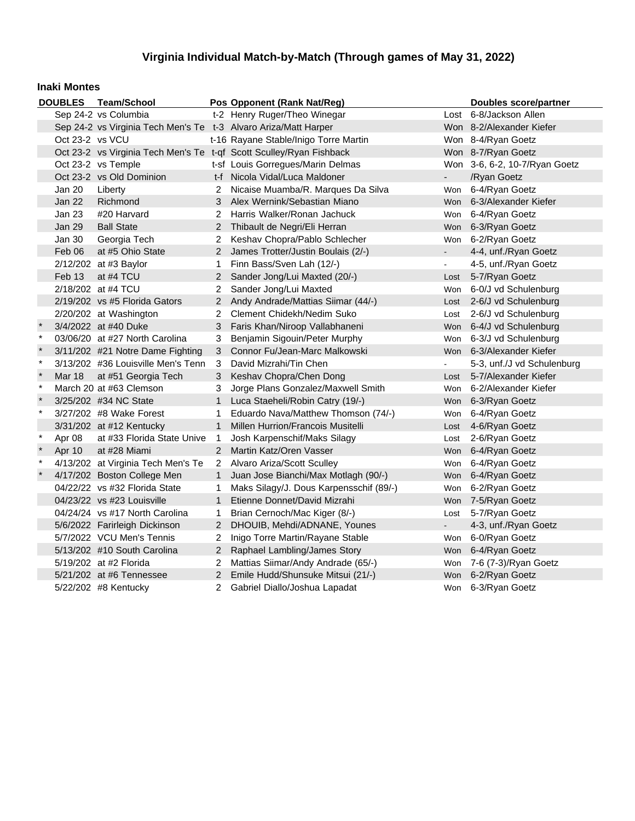#### **Inaki Montes**

|              |                 | DOUBLES Team/School                                             |                       | Pos Opponent (Rank Nat/Reg)                                         |                | <b>Doubles score/partner</b>  |
|--------------|-----------------|-----------------------------------------------------------------|-----------------------|---------------------------------------------------------------------|----------------|-------------------------------|
|              |                 | Sep 24-2 vs Columbia                                            |                       | t-2 Henry Ruger/Theo Winegar                                        |                | Lost 6-8/Jackson Allen        |
|              |                 | Sep 24-2 vs Virginia Tech Men's Te t-3 Alvaro Ariza/Matt Harper |                       |                                                                     |                | Won 8-2/Alexander Kiefer      |
|              | Oct 23-2 vs VCU |                                                                 |                       | t-16 Rayane Stable/Inigo Torre Martin                               |                | Won 8-4/Ryan Goetz            |
|              |                 |                                                                 |                       | Oct 23-2 vs Virginia Tech Men's Te t-qf Scott Sculley/Ryan Fishback |                | Won 8-7/Ryan Goetz            |
|              |                 | Oct 23-2 vs Temple                                              |                       | t-sf Louis Gorregues/Marin Delmas                                   |                | Won 3-6, 6-2, 10-7/Ryan Goetz |
|              |                 | Oct 23-2 vs Old Dominion                                        |                       | t-f Nicola Vidal/Luca Maldoner                                      | $\blacksquare$ | /Ryan Goetz                   |
|              | Jan 20          | Liberty                                                         | 2                     | Nicaise Muamba/R. Marques Da Silva                                  | Won            | 6-4/Ryan Goetz                |
|              | Jan 22          | Richmond                                                        | 3                     | Alex Wernink/Sebastian Miano                                        | Won            | 6-3/Alexander Kiefer          |
|              | Jan 23          | #20 Harvard                                                     | $\overline{2}$        | Harris Walker/Ronan Jachuck                                         | Won            | 6-4/Ryan Goetz                |
|              | Jan 29          | <b>Ball State</b>                                               |                       | 2 Thibault de Negri/Eli Herran                                      | Won            | 6-3/Ryan Goetz                |
|              | Jan 30          | Georgia Tech                                                    | 2                     | Keshav Chopra/Pablo Schlecher                                       | Won            | 6-2/Ryan Goetz                |
|              | Feb 06          | at #5 Ohio State                                                | $\mathbf{2}^{\prime}$ | James Trotter/Justin Boulais (2/-)                                  | $\blacksquare$ | 4-4, unf./Ryan Goetz          |
|              |                 | 2/12/202 at #3 Baylor                                           | 1                     | Finn Bass/Sven Lah (12/-)                                           | $\blacksquare$ | 4-5, unf./Ryan Goetz          |
|              | Feb 13          | at #4 TCU                                                       |                       | 2 Sander Jong/Lui Maxted (20/-)                                     | Lost           | 5-7/Ryan Goetz                |
|              |                 | 2/18/202 at #4 TCU                                              | $\mathbf{2}^{\circ}$  | Sander Jong/Lui Maxted                                              | Won            | 6-0/J vd Schulenburg          |
|              |                 | 2/19/202 vs #5 Florida Gators                                   | $\overline{2}$        | Andy Andrade/Mattias Siimar (44/-)                                  | Lost           | 2-6/J vd Schulenburg          |
|              |                 | 2/20/202 at Washington                                          | 2                     | Clement Chidekh/Nedim Suko                                          | Lost           | 2-6/J vd Schulenburg          |
| $\pmb{\ast}$ |                 | 3/4/2022 at #40 Duke                                            | 3                     | Faris Khan/Niroop Vallabhaneni                                      | Won            | 6-4/J vd Schulenburg          |
| $\pmb{\ast}$ |                 | 03/06/20 at #27 North Carolina                                  | 3                     | Benjamin Sigouin/Peter Murphy                                       | Won            | 6-3/J vd Schulenburg          |
| $\ast$       |                 | 3/11/202 #21 Notre Dame Fighting                                | 3                     | Connor Fu/Jean-Marc Malkowski                                       | <b>Won</b>     | 6-3/Alexander Kiefer          |
| $\star$      |                 | 3/13/202 #36 Louisville Men's Tenn                              | 3                     | David Mizrahi/Tin Chen                                              |                | 5-3, unf./J vd Schulenburg    |
| $\star$      | <b>Mar 18</b>   | at #51 Georgia Tech                                             | 3                     | Keshav Chopra/Chen Dong                                             | Lost           | 5-7/Alexander Kiefer          |
| $\star$      |                 | March 20 at #63 Clemson                                         | 3                     | Jorge Plans Gonzalez/Maxwell Smith                                  | Won            | 6-2/Alexander Kiefer          |
| $\star$      |                 | 3/25/202 #34 NC State                                           | $\mathbf{1}$          | Luca Staeheli/Robin Catry (19/-)                                    | Won            | 6-3/Ryan Goetz                |
| $\star$      |                 | 3/27/202 #8 Wake Forest                                         | 1                     | Eduardo Nava/Matthew Thomson (74/-)                                 | Won            | 6-4/Ryan Goetz                |
|              |                 | 3/31/202 at #12 Kentucky                                        | $\mathbf{1}$          | Millen Hurrion/Francois Musitelli                                   | Lost           | 4-6/Ryan Goetz                |
| $\pmb{\ast}$ | Apr 08          | at #33 Florida State Unive                                      | 1                     | Josh Karpenschif/Maks Silagy                                        | Lost           | 2-6/Ryan Goetz                |
| $\ast$       | Apr 10          | at #28 Miami                                                    | $\mathbf{2}^{\circ}$  | Martin Katz/Oren Vasser                                             | <b>Won</b>     | 6-4/Ryan Goetz                |
| $\star$      |                 | 4/13/202 at Virginia Tech Men's Te                              |                       | 2 Alvaro Ariza/Scott Sculley                                        | Won            | 6-4/Ryan Goetz                |
|              |                 | 4/17/202 Boston College Men                                     | $\mathbf{1}$          | Juan Jose Bianchi/Max Motlagh (90/-)                                | Won            | 6-4/Ryan Goetz                |
|              |                 | 04/22/22 vs #32 Florida State                                   | 1                     | Maks Silagy/J. Dous Karpensschif (89/-)                             | Won            | 6-2/Ryan Goetz                |
|              |                 | 04/23/22 vs #23 Louisville                                      | $\mathbf{1}$          | Etienne Donnet/David Mizrahi                                        | Won            | 7-5/Ryan Goetz                |
|              |                 | 04/24/24 vs #17 North Carolina                                  | 1                     | Brian Cernoch/Mac Kiger (8/-)                                       | Lost           | 5-7/Ryan Goetz                |
|              |                 | 5/6/2022 Farirleigh Dickinson                                   | $\overline{2}$        | DHOUIB, Mehdi/ADNANE, Younes                                        | $\blacksquare$ | 4-3, unf./Ryan Goetz          |
|              |                 | 5/7/2022 VCU Men's Tennis                                       | 2                     | Inigo Torre Martin/Rayane Stable                                    | Won            | 6-0/Ryan Goetz                |
|              |                 | 5/13/202 #10 South Carolina                                     | $\mathbf{2}^{\prime}$ | Raphael Lambling/James Story                                        | <b>Won</b>     | 6-4/Ryan Goetz                |
|              |                 | 5/19/202 at #2 Florida                                          | 2                     | Mattias Siimar/Andy Andrade (65/-)                                  | Won            | 7-6 (7-3)/Ryan Goetz          |
|              |                 | 5/21/202 at #6 Tennessee                                        | $\mathbf{2}^{\prime}$ | Emile Hudd/Shunsuke Mitsui (21/-)                                   | Won            | 6-2/Ryan Goetz                |
|              |                 | 5/22/202 #8 Kentucky                                            | $\overline{2}$        | Gabriel Diallo/Joshua Lapadat                                       |                | Won 6-3/Ryan Goetz            |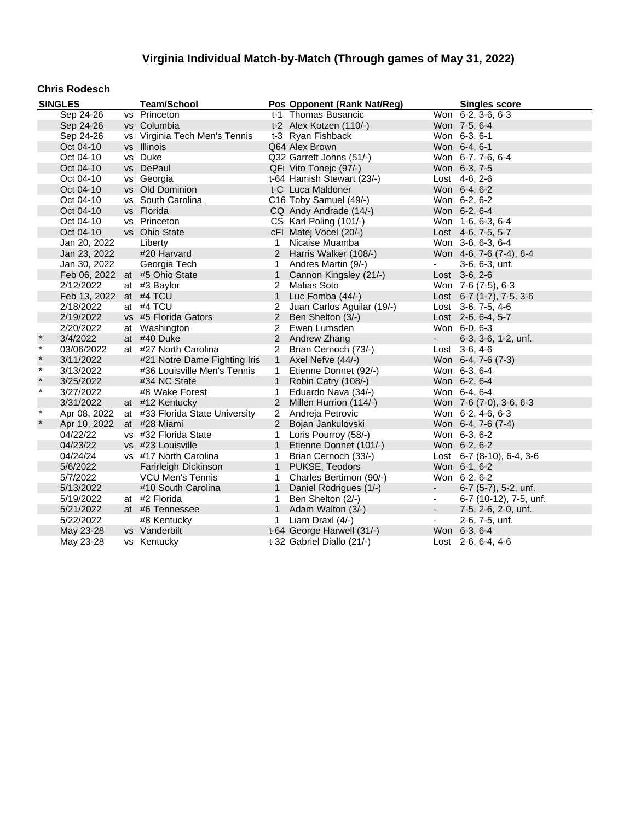### **Chris Rodesch**

|         | <b>SINGLES</b>         | <b>Team/School</b>              |                | Pos Opponent (Rank Nat/Reg) |                | <b>Singles score</b>       |
|---------|------------------------|---------------------------------|----------------|-----------------------------|----------------|----------------------------|
|         | Sep 24-26              | vs Princeton                    |                | t-1 Thomas Bosancic         |                | Won 6-2, 3-6, 6-3          |
|         | Sep 24-26              | vs Columbia                     |                | t-2 Alex Kotzen (110/-)     |                | Won 7-5, 6-4               |
|         | Sep 24-26              | vs Virginia Tech Men's Tennis   |                | t-3 Ryan Fishback           |                | Won 6-3, 6-1               |
|         | Oct 04-10              | vs Illinois                     |                | Q64 Alex Brown              |                | Won 6-4, 6-1               |
|         | Oct 04-10              | vs Duke                         |                | Q32 Garrett Johns (51/-)    |                | Won 6-7, 7-6, 6-4          |
|         | Oct 04-10              | vs DePaul                       |                | QFi Vito Tonejc (97/-)      |                | Won 6-3, 7-5               |
|         | Oct 04-10              | vs Georgia                      |                | t-64 Hamish Stewart (23/-)  |                | Lost $4-6, 2-6$            |
|         | Oct 04-10              | vs Old Dominion                 |                | t-C Luca Maldoner           |                | Won 6-4, 6-2               |
|         | Oct 04-10              | vs South Carolina               |                | C16 Toby Samuel (49/-)      |                | Won 6-2, 6-2               |
|         | Oct 04-10              | vs Florida                      |                | CQ Andy Andrade (14/-)      |                | Won 6-2, 6-4               |
|         | Oct 04-10              | vs Princeton                    |                | CS Karl Poling (101/-)      |                | Won 1-6, 6-3, 6-4          |
|         | Oct 04-10              | vs Ohio State                   |                | cFI Matej Vocel (20/-)      |                | Lost 4-6, 7-5, 5-7         |
|         | Jan 20, 2022           | Liberty                         | 1              | Nicaise Muamba              |                | Won 3-6, 6-3, 6-4          |
|         | Jan 23, 2022           | #20 Harvard                     |                | 2 Harris Walker (108/-)     |                | Won 4-6, 7-6 (7-4), 6-4    |
|         | Jan 30, 2022           | Georgia Tech                    | $\mathbf{1}$   | Andres Martin (9/-)         | $\sim$         | 3-6, 6-3, unf.             |
|         |                        | Feb 06, 2022 at #5 Ohio State   | $\mathbf{1}$   | Cannon Kingsley (21/-)      |                | Lost $3-6, 2-6$            |
|         | 2/12/2022              | at #3 Baylor                    | $\overline{2}$ | <b>Matias Soto</b>          |                | Won 7-6 (7-5), 6-3         |
|         | Feb 13, 2022 at #4 TCU |                                 | $\mathbf{1}$   | Luc Fomba (44/-)            |                | Lost $6-7$ (1-7), 7-5, 3-6 |
|         | 2/18/2022              | at #4 TCU                       | $\overline{2}$ | Juan Carlos Aguilar (19/-)  |                | Lost 3-6, 7-5, 4-6         |
|         | 2/19/2022              | vs #5 Florida Gators            | $2^{\circ}$    | Ben Shelton (3/-)           |                | Lost 2-6, 6-4, 5-7         |
|         | 2/20/2022              | at Washington                   | $\overline{2}$ | Ewen Lumsden                |                | Won 6-0, 6-3               |
| $\star$ | 3/4/2022               | at #40 Duke                     |                | 2 Andrew Zhang              | $\sim 10$      | 6-3, 3-6, 1-2, unf.        |
| $\star$ | 03/06/2022             | at #27 North Carolina           | $\overline{2}$ | Brian Cernoch (73/-)        |                | Lost 3-6, 4-6              |
| $\star$ | 3/11/2022              | #21 Notre Dame Fighting Iris    | 1              | Axel Nefve (44/-)           |                | Won 6-4, 7-6 (7-3)         |
| $\star$ | 3/13/2022              | #36 Louisville Men's Tennis     | 1              | Etienne Donnet (92/-)       |                | Won 6-3, 6-4               |
| $\star$ | 3/25/2022              | #34 NC State                    | $\mathbf{1}$   | Robin Catry (108/-)         |                | Won 6-2, 6-4               |
| $\star$ | 3/27/2022              | #8 Wake Forest                  | 1              | Eduardo Nava (34/-)         |                | Won 6-4, 6-4               |
|         | 3/31/2022              | at #12 Kentucky                 | 2              | Millen Hurrion (114/-)      |                | Won 7-6 (7-0), 3-6, 6-3    |
| $\star$ | Apr 08, 2022           | at #33 Florida State University | $\overline{2}$ | Andreja Petrovic            |                | Won 6-2, 4-6, 6-3          |
|         | Apr 10, 2022           | at #28 Miami                    | $2^{\circ}$    | Bojan Jankulovski           |                | Won 6-4, 7-6 (7-4)         |
|         | 04/22/22               | vs #32 Florida State            | $\mathbf{1}$   | Loris Pourroy (58/-)        |                | Won 6-3, 6-2               |
|         | 04/23/22               | vs #23 Louisville               | 1              | Etienne Donnet (101/-)      |                | Won 6-2, 6-2               |
|         | 04/24/24               | vs #17 North Carolina           | 1              | Brian Cernoch (33/-)        |                | Lost 6-7 (8-10), 6-4, 3-6  |
|         | 5/6/2022               | Farirleigh Dickinson            | $\mathbf{1}$   | PUKSE, Teodors              |                | Won 6-1, 6-2               |
|         | 5/7/2022               | <b>VCU Men's Tennis</b>         | 1              | Charles Bertimon (90/-)     |                | Won 6-2, 6-2               |
|         | 5/13/2022              | #10 South Carolina              | $\mathbf{1}$   | Daniel Rodrigues (1/-)      | $\sim$         | 6-7 (5-7), 5-2, unf.       |
|         | 5/19/2022              | at #2 Florida                   | $\mathbf{1}$   | Ben Shelton (2/-)           | $\blacksquare$ | 6-7 (10-12), 7-5, unf.     |
|         | 5/21/2022              | at #6 Tennessee                 | $\mathbf{1}$   | Adam Walton (3/-)           | $\sim$         | 7-5, 2-6, 2-0, unf.        |
|         | 5/22/2022              | #8 Kentucky                     | 1              | Liam Draxl (4/-)            | $\blacksquare$ | 2-6, 7-5, unf.             |
|         | May 23-28              | vs Vanderbilt                   |                | t-64 George Harwell (31/-)  |                | Won 6-3, 6-4               |
|         | May 23-28              | vs Kentucky                     |                | t-32 Gabriel Diallo (21/-)  |                | Lost 2-6, 6-4, 4-6         |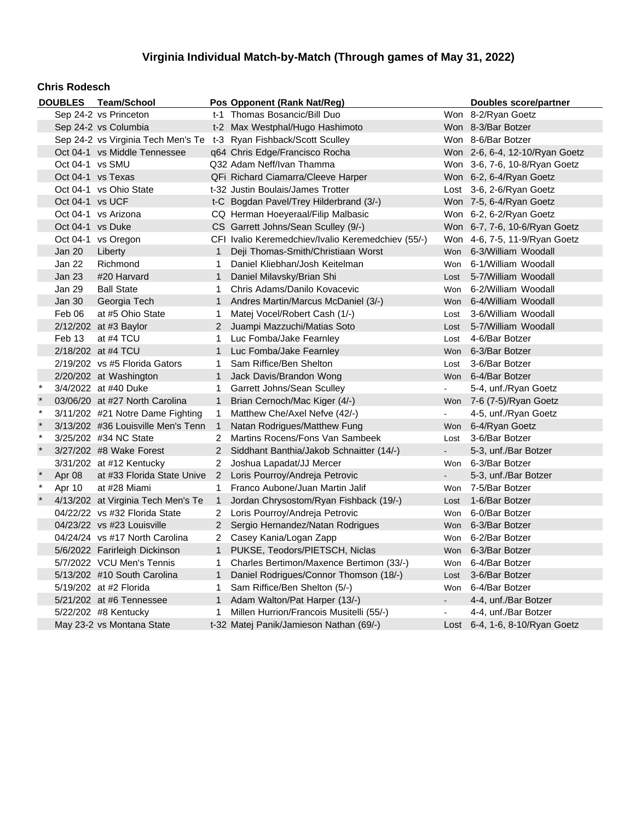#### **Chris Rodesch**

|              |                   | DOUBLES Team/School                |                       | Pos Opponent (Rank Nat/Reg)                                        |                           | Doubles score/partner             |
|--------------|-------------------|------------------------------------|-----------------------|--------------------------------------------------------------------|---------------------------|-----------------------------------|
|              |                   | Sep 24-2 vs Princeton              |                       | t-1 Thomas Bosancic/Bill Duo                                       |                           | Won 8-2/Ryan Goetz                |
|              |                   | Sep 24-2 vs Columbia               |                       | t-2 Max Westphal/Hugo Hashimoto                                    |                           | Won 8-3/Bar Botzer                |
|              |                   |                                    |                       | Sep 24-2 vs Virginia Tech Men's Te t-3 Ryan Fishback/Scott Sculley |                           | Won 8-6/Bar Botzer                |
|              |                   | Oct 04-1 vs Middle Tennessee       |                       | q64 Chris Edge/Francisco Rocha                                     |                           | Won 2-6, 6-4, 12-10/Ryan Goetz    |
|              | Oct 04-1 vs SMU   |                                    |                       | Q32 Adam Neff/Ivan Thamma                                          |                           | Won 3-6, 7-6, 10-8/Ryan Goetz     |
|              | Oct 04-1 vs Texas |                                    |                       | QFi Richard Ciamarra/Cleeve Harper                                 |                           | Won 6-2, 6-4/Ryan Goetz           |
|              |                   | Oct 04-1 vs Ohio State             |                       | t-32 Justin Boulais/James Trotter                                  |                           | Lost 3-6, 2-6/Ryan Goetz          |
|              | Oct 04-1 vs UCF   |                                    |                       | t-C Bogdan Pavel/Trey Hilderbrand (3/-)                            |                           | Won 7-5, 6-4/Ryan Goetz           |
|              |                   | Oct 04-1 vs Arizona                |                       | CQ Herman Hoeyeraal/Filip Malbasic                                 |                           | Won 6-2, 6-2/Ryan Goetz           |
|              | Oct 04-1 vs Duke  |                                    |                       | CS Garrett Johns/Sean Sculley (9/-)                                |                           | Won 6-7, 7-6, 10-6/Ryan Goetz     |
|              |                   | Oct 04-1 vs Oregon                 |                       | CFI Ivalio Keremedchiev/Ivalio Keremedchiev (55/-)                 |                           | Won 4-6, 7-5, 11-9/Ryan Goetz     |
|              | Jan 20            | Liberty                            | $\mathbf{1}$          | Deji Thomas-Smith/Christiaan Worst                                 |                           | Won 6-3/William Woodall           |
|              | Jan 22            | Richmond                           | 1                     | Daniel Kliebhan/Josh Keitelman                                     | Won                       | 6-1/William Woodall               |
|              | Jan 23            | #20 Harvard                        | 1                     | Daniel Milavsky/Brian Shi                                          | Lost                      | 5-7/William Woodall               |
|              | Jan 29            | <b>Ball State</b>                  | 1                     | Chris Adams/Danilo Kovacevic                                       | Won                       | 6-2/William Woodall               |
|              | Jan 30            | Georgia Tech                       | 1                     | Andres Martin/Marcus McDaniel (3/-)                                |                           | Won 6-4/William Woodall           |
|              | Feb 06            | at #5 Ohio State                   | 1                     | Matej Vocel/Robert Cash (1/-)                                      | Lost                      | 3-6/William Woodall               |
|              |                   | 2/12/202 at #3 Baylor              | $\overline{2}$        | Juampi Mazzuchi/Matias Soto                                        | Lost                      | 5-7/William Woodall               |
|              | Feb 13            | at #4 TCU                          | 1                     | Luc Fomba/Jake Fearnley                                            | Lost                      | 4-6/Bar Botzer                    |
|              |                   | 2/18/202 at #4 TCU                 | $\mathbf{1}$          | Luc Fomba/Jake Fearnley                                            |                           | Won 6-3/Bar Botzer                |
|              |                   | $2/19/202$ vs #5 Florida Gators    | 1                     | Sam Riffice/Ben Shelton                                            | Lost                      | 3-6/Bar Botzer                    |
|              |                   | 2/20/202 at Washington             | 1                     | Jack Davis/Brandon Wong                                            |                           | Won 6-4/Bar Botzer                |
| $\star$      |                   | 3/4/2022 at #40 Duke               | 1                     | Garrett Johns/Sean Sculley                                         | $\blacksquare$            | 5-4, unf./Ryan Goetz              |
| $\star$      |                   | 03/06/20 at #27 North Carolina     | $\mathbf{1}$          | Brian Cernoch/Mac Kiger (4/-)                                      |                           | Won 7-6 (7-5)/Ryan Goetz          |
| $\pmb{\ast}$ |                   | 3/11/202 #21 Notre Dame Fighting   | 1.                    | Matthew Che/Axel Nefve (42/-)                                      | $\sim$                    | 4-5, unf./Ryan Goetz              |
| $\ast$       |                   | 3/13/202 #36 Louisville Men's Tenn | $\mathbf{1}$          | Natan Rodrigues/Matthew Fung                                       |                           | Won 6-4/Ryan Goetz                |
| $\star$      |                   | 3/25/202 #34 NC State              | $\mathbf{2}^{\circ}$  | Martins Rocens/Fons Van Sambeek                                    | Lost                      | 3-6/Bar Botzer                    |
| $\star$      |                   | 3/27/202 #8 Wake Forest            |                       | 2 Siddhant Banthia/Jakob Schnaitter (14/-)                         | $\mathbf{L}^{\text{max}}$ | 5-3, unf./Bar Botzer              |
|              |                   | 3/31/202 at #12 Kentucky           | 2                     | Joshua Lapadat/JJ Mercer                                           | Won                       | 6-3/Bar Botzer                    |
|              | Apr 08            | at #33 Florida State Unive         |                       | 2 Loris Pourroy/Andreja Petrovic                                   |                           | 5-3, unf./Bar Botzer              |
| $\star$      | Apr 10            | at #28 Miami                       | $\mathbf 1$           | Franco Aubone/Juan Martin Jalif                                    | Won                       | 7-5/Bar Botzer                    |
| $\star$      |                   | 4/13/202 at Virginia Tech Men's Te | $\mathbf{1}$          | Jordan Chrysostom/Ryan Fishback (19/-)                             | Lost                      | 1-6/Bar Botzer                    |
|              |                   | 04/22/22 vs #32 Florida State      | $^{2}$                | Loris Pourroy/Andreja Petrovic                                     | <b>Won</b>                | 6-0/Bar Botzer                    |
|              |                   | 04/23/22 vs #23 Louisville         | $\mathbf{2}^{\prime}$ | Sergio Hernandez/Natan Rodrigues                                   |                           | Won 6-3/Bar Botzer                |
|              |                   | 04/24/24 vs #17 North Carolina     | $\mathbf{2}$          | Casey Kania/Logan Zapp                                             | Won                       | 6-2/Bar Botzer                    |
|              |                   | 5/6/2022 Farirleigh Dickinson      | $\mathbf{1}$          | PUKSE, Teodors/PIETSCH, Niclas                                     |                           | Won 6-3/Bar Botzer                |
|              |                   | 5/7/2022 VCU Men's Tennis          | 1                     | Charles Bertimon/Maxence Bertimon (33/-)                           | Won                       | 6-4/Bar Botzer                    |
|              |                   | 5/13/202 #10 South Carolina        | $\mathbf{1}$          | Daniel Rodrigues/Connor Thomson (18/-)                             | Lost                      | 3-6/Bar Botzer                    |
|              |                   | 5/19/202 at #2 Florida             | 1                     | Sam Riffice/Ben Shelton (5/-)                                      | Won                       | 6-4/Bar Botzer                    |
|              |                   | 5/21/202 at #6 Tennessee           | $\mathbf{1}$          | Adam Walton/Pat Harper (13/-)                                      | $\sim$                    | 4-4, unf./Bar Botzer              |
|              |                   | 5/22/202 #8 Kentucky               | 1                     | Millen Hurrion/Francois Musitelli (55/-)                           | $\blacksquare$            | 4-4, unf./Bar Botzer              |
|              |                   | May 23-2 vs Montana State          |                       | t-32 Matej Panik/Jamieson Nathan (69/-)                            |                           | Lost $6-4$ , 1-6, 8-10/Ryan Goetz |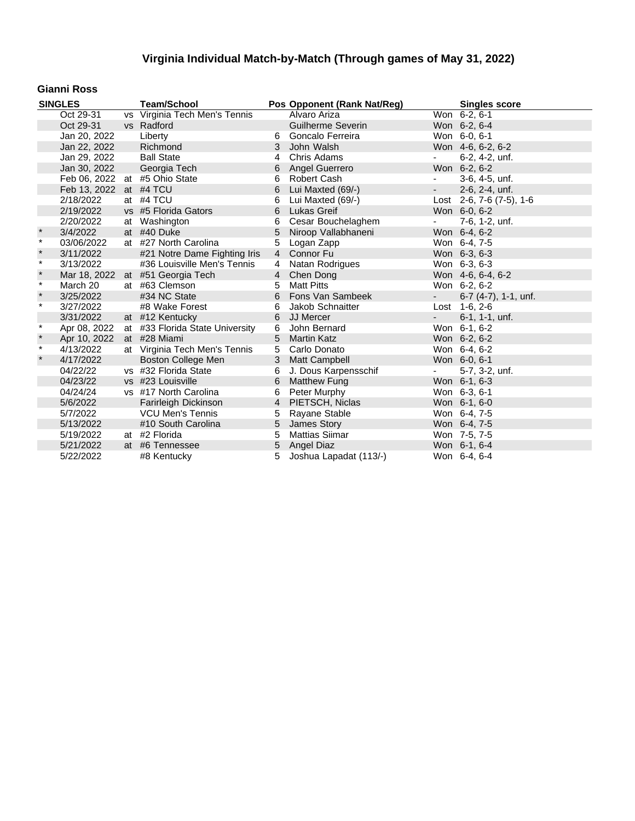### **Gianni Ross**

|              | <b>SINGLES</b>         | <b>Team/School</b>              |                | Pos Opponent (Rank Nat/Reg) |                              | <b>Singles score</b>      |
|--------------|------------------------|---------------------------------|----------------|-----------------------------|------------------------------|---------------------------|
|              | Oct 29-31              | vs Virginia Tech Men's Tennis   |                | Alvaro Ariza                |                              | Won 6-2, 6-1              |
|              | Oct 29-31              | vs Radford                      |                | <b>Guilherme Severin</b>    |                              | Won 6-2, 6-4              |
|              | Jan 20, 2022           | Liberty                         | 6              | Goncalo Ferreira            |                              | Won 6-0, 6-1              |
|              | Jan 22, 2022           | Richmond                        | 3              | John Walsh                  |                              | Won 4-6, 6-2, 6-2         |
|              | Jan 29, 2022           | <b>Ball State</b>               | 4              | Chris Adams                 | $\overline{\phantom{a}}$     | 6-2, 4-2, unf.            |
|              | Jan 30, 2022           | Georgia Tech                    | 6              | Angel Guerrero              |                              | Won 6-2, 6-2              |
|              |                        | Feb 06, 2022 at #5 Ohio State   | 6              | Robert Cash                 | $\overline{\phantom{a}}$     | 3-6, 4-5, unf.            |
|              | Feb 13, 2022 at #4 TCU |                                 | 6              | Lui Maxted (69/-)           | $\omega_{\rm{max}}$          | 2-6, 2-4, unf.            |
|              | 2/18/2022              | at #4 TCU                       | 6              | Lui Maxted (69/-)           |                              | Lost 2-6, 7-6 (7-5), 1-6  |
|              | 2/19/2022              | vs #5 Florida Gators            | 6              | <b>Lukas Greif</b>          |                              | Won 6-0, 6-2              |
|              | 2/20/2022              | at Washington                   | 6              | Cesar Bouchelaghem          | $\sim$                       | 7-6, 1-2, unf.            |
| $\pmb{\ast}$ | 3/4/2022               | at #40 Duke                     | 5              | Niroop Vallabhaneni         |                              | Won 6-4, 6-2              |
| $\star$      | 03/06/2022             | at #27 North Carolina           | 5              | Logan Zapp                  |                              | Won 6-4, 7-5              |
| $\star$      | 3/11/2022              | #21 Notre Dame Fighting Iris    |                | 4 Connor Fu                 |                              | Won 6-3, 6-3              |
| $\star$      | 3/13/2022              | #36 Louisville Men's Tennis     | 4              | Natan Rodrigues             |                              | Won 6-3, 6-3              |
| $\star$      | Mar 18, 2022           | at #51 Georgia Tech             | $4 \quad$      | Chen Dong                   |                              | Won 4-6, 6-4, 6-2         |
| $\star$      | March 20               | at #63 Clemson                  | 5              | <b>Matt Pitts</b>           |                              | Won 6-2, 6-2              |
| $\pmb{\ast}$ | 3/25/2022              | #34 NC State                    |                | 6 Fons Van Sambeek          | $\sim 100$                   | $6-7$ $(4-7)$ , 1-1, unf. |
| $\ast$       | 3/27/2022              | #8 Wake Forest                  | 6              | Jakob Schnaitter            |                              | Lost 1-6, 2-6             |
|              | 3/31/2022              | at #12 Kentucky                 | 6              | JJ Mercer                   |                              | 6-1, 1-1, unf.            |
| $\star$      | Apr 08, 2022           | at #33 Florida State University | 6              | John Bernard                |                              | Won 6-1, 6-2              |
| $\pmb{\ast}$ | Apr 10, 2022           | at #28 Miami                    | 5              | <b>Martin Katz</b>          |                              | Won 6-2, 6-2              |
| $\star$      | 4/13/2022              | at Virginia Tech Men's Tennis   | 5              | Carlo Donato                |                              | Won 6-4, 6-2              |
| $\star$      | 4/17/2022              | Boston College Men              | 3              | <b>Matt Campbell</b>        |                              | Won 6-0, 6-1              |
|              | 04/22/22               | vs #32 Florida State            | 6              | J. Dous Karpensschif        | $\qquad \qquad \blacksquare$ | 5-7, 3-2, unf.            |
|              | 04/23/22               | vs #23 Louisville               | 6              | <b>Matthew Fung</b>         |                              | Won 6-1, 6-3              |
|              | 04/24/24               | vs #17 North Carolina           | 6              | Peter Murphy                |                              | Won 6-3, 6-1              |
|              | 5/6/2022               | Farirleigh Dickinson            | $\overline{4}$ | PIETSCH, Niclas             |                              | Won 6-1, 6-0              |
|              | 5/7/2022               | <b>VCU Men's Tennis</b>         | 5              | Rayane Stable               |                              | Won 6-4, 7-5              |
|              | 5/13/2022              | #10 South Carolina              | 5              | James Story                 |                              | Won 6-4, 7-5              |
|              | 5/19/2022              | at #2 Florida                   | 5              | <b>Mattias Siimar</b>       |                              | Won 7-5, 7-5              |
|              | 5/21/2022              | at #6 Tennessee                 | 5              | <b>Angel Diaz</b>           |                              | Won 6-1, 6-4              |
|              | 5/22/2022              | #8 Kentucky                     | 5              | Joshua Lapadat (113/-)      |                              | Won 6-4, 6-4              |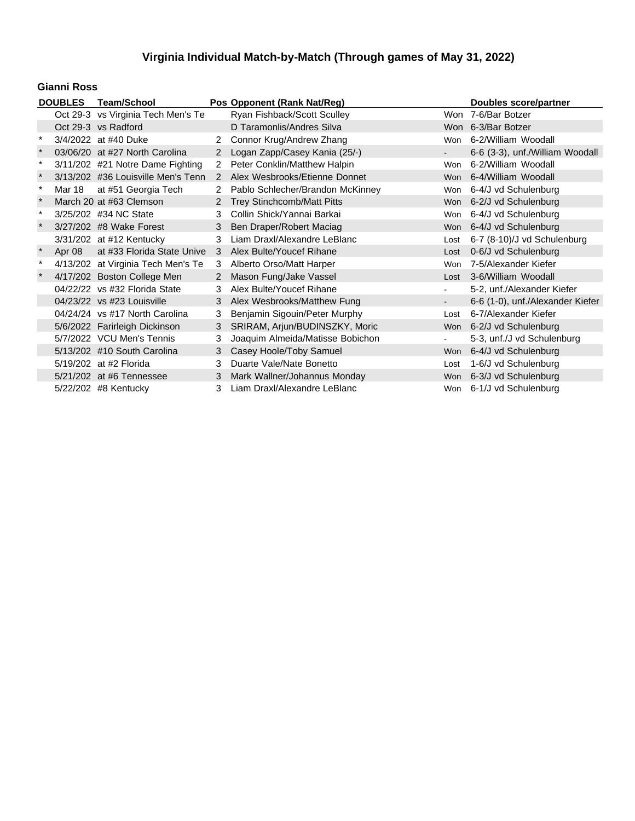### **Gianni Ross**

|          | <b>DOUBLES</b> | <b>Team/School</b>                 |                | Pos Opponent (Rank Nat/Reg)       |            | <b>Doubles score/partner</b>     |
|----------|----------------|------------------------------------|----------------|-----------------------------------|------------|----------------------------------|
|          |                | Oct 29-3 vs Virginia Tech Men's Te |                | Ryan Fishback/Scott Sculley       |            | Won 7-6/Bar Botzer               |
|          |                | Oct 29-3 vs Radford                |                | D Taramonlis/Andres Silva         |            | Won 6-3/Bar Botzer               |
|          |                | 3/4/2022 at #40 Duke               | 2              | Connor Krug/Andrew Zhang          | Won        | 6-2/William Woodall              |
| $\star$  |                | 03/06/20 at #27 North Carolina     | $\overline{2}$ | Logan Zapp/Casey Kania (25/-)     |            | 6-6 (3-3), unf./William Woodall  |
| $\ast$   |                | 3/11/202 #21 Notre Dame Fighting   | $2^{\circ}$    | Peter Conklin/Matthew Halpin      | <b>Won</b> | 6-2/William Woodall              |
| $\star$  |                | 3/13/202 #36 Louisville Men's Tenn | $\mathcal{P}$  | Alex Wesbrooks/Etienne Donnet     |            | Won 6-4/William Woodall          |
| $\star$  | Mar 18         | at #51 Georgia Tech                | $\mathbf{2}$   | Pablo Schlecher/Brandon McKinney  |            | Won 6-4/J vd Schulenburg         |
|          |                | March 20 at #63 Clemson            | 2              | <b>Trey Stinchcomb/Matt Pitts</b> |            | Won 6-2/J vd Schulenburg         |
| $\ast$   |                | 3/25/202 #34 NC State              | 3              | Collin Shick/Yannai Barkai        | Won        | 6-4/J vd Schulenburg             |
|          |                | 3/27/202 #8 Wake Forest            | 3              | Ben Draper/Robert Maciag          | <b>Won</b> | 6-4/J vd Schulenburg             |
|          |                | 3/31/202 at #12 Kentucky           | 3              | Liam Draxl/Alexandre LeBlanc      | Lost       | 6-7 (8-10)/J vd Schulenburg      |
|          | Apr 08         | at #33 Florida State Unive         | 3              | Alex Bulte/Youcef Rihane          | Lost       | 0-6/J vd Schulenburg             |
| $^\star$ |                | 4/13/202 at Virginia Tech Men's Te | 3              | Alberto Orso/Matt Harper          | <b>Won</b> | 7-5/Alexander Kiefer             |
|          |                | 4/17/202 Boston College Men        | $\overline{2}$ | Mason Fung/Jake Vassel            | Lost       | 3-6/William Woodall              |
|          |                | 04/22/22 vs #32 Florida State      | 3              | Alex Bulte/Youcef Rihane          |            | 5-2, unf./Alexander Kiefer       |
|          |                | 04/23/22 vs #23 Louisville         | 3              | Alex Wesbrooks/Matthew Fung       | $\sim$     | 6-6 (1-0), unf./Alexander Kiefer |
|          |                | 04/24/24 vs #17 North Carolina     | 3              | Benjamin Sigouin/Peter Murphy     | Lost       | 6-7/Alexander Kiefer             |
|          |                | 5/6/2022 Farirleigh Dickinson      | 3              | SRIRAM, Arjun/BUDINSZKY, Moric    |            | Won 6-2/J vd Schulenburg         |
|          |                | 5/7/2022 VCU Men's Tennis          | 3              | Joaquim Almeida/Matisse Bobichon  |            | 5-3, unf./J vd Schulenburg       |
|          |                | 5/13/202 #10 South Carolina        | 3              | Casey Hoole/Toby Samuel           | Won        | 6-4/J vd Schulenburg             |
|          |                | 5/19/202 at #2 Florida             | 3              | Duarte Vale/Nate Bonetto          | Lost       | 1-6/J vd Schulenburg             |
|          |                | 5/21/202 at #6 Tennessee           | 3              | Mark Wallner/Johannus Monday      | Won        | 6-3/J vd Schulenburg             |
|          |                | 5/22/202 #8 Kentucky               | 3              | Liam Draxl/Alexandre LeBlanc      |            | Won 6-1/J vd Schulenburg         |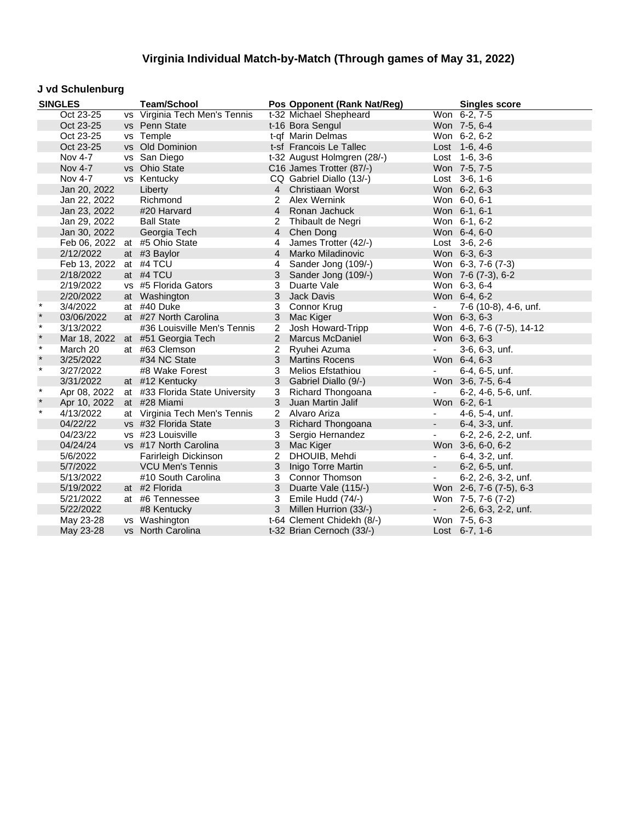### **J vd Schulenburg**

|         | <b>SINGLES</b> | <b>Team/School</b>              |                | Pos Opponent (Rank Nat/Reg) |                          | <b>Singles score</b>      |
|---------|----------------|---------------------------------|----------------|-----------------------------|--------------------------|---------------------------|
|         | Oct 23-25      | vs Virginia Tech Men's Tennis   |                | t-32 Michael Shepheard      |                          | Won 6-2, 7-5              |
|         | Oct 23-25      | vs Penn State                   |                | t-16 Bora Sengul            |                          | Won 7-5, 6-4              |
|         | Oct 23-25      | vs Temple                       |                | t-qf Marin Delmas           |                          | Won 6-2, 6-2              |
|         | Oct 23-25      | vs Old Dominion                 |                | t-sf Francois Le Tallec     |                          | Lost 1-6, 4-6             |
|         | Nov 4-7        | vs San Diego                    |                | t-32 August Holmgren (28/-) |                          | Lost 1-6, 3-6             |
|         | Nov 4-7        | vs Ohio State                   |                | C16 James Trotter (87/-)    |                          | Won 7-5, 7-5              |
|         | Nov 4-7        | vs Kentucky                     |                | CQ Gabriel Diallo (13/-)    |                          | Lost 3-6, 1-6             |
|         | Jan 20, 2022   | Liberty                         |                | 4 Christiaan Worst          |                          | Won 6-2, 6-3              |
|         | Jan 22, 2022   | Richmond                        | $\overline{2}$ | Alex Wernink                |                          | Won 6-0, 6-1              |
|         | Jan 23, 2022   | #20 Harvard                     |                | 4 Ronan Jachuck             |                          | Won 6-1, 6-1              |
|         | Jan 29, 2022   | <b>Ball State</b>               | 2              | Thibault de Negri           |                          | Won 6-1, 6-2              |
|         | Jan 30, 2022   | Georgia Tech                    |                | 4 Chen Dong                 |                          | Won 6-4, 6-0              |
|         |                | Feb 06, 2022 at #5 Ohio State   | $\overline{4}$ | James Trotter (42/-)        |                          | Lost 3-6, 2-6             |
|         | 2/12/2022      | at #3 Baylor                    | $\overline{4}$ | Marko Miladinovic           |                          | Won 6-3, 6-3              |
|         | Feb 13, 2022   | at #4 TCU                       | 4              | Sander Jong (109/-)         |                          | Won 6-3, 7-6 (7-3)        |
|         | 2/18/2022      | at #4 TCU                       | 3              | Sander Jong (109/-)         |                          | Won 7-6 (7-3), 6-2        |
|         | 2/19/2022      | vs #5 Florida Gators            | 3              | Duarte Vale                 |                          | Won 6-3, 6-4              |
|         | 2/20/2022      | at Washington                   | 3              | <b>Jack Davis</b>           |                          | Won 6-4, 6-2              |
| $\star$ | 3/4/2022       | at #40 Duke                     | 3              | Connor Krug                 | $\mathbf{r}$             | 7-6 (10-8), 4-6, unf.     |
| $\star$ | 03/06/2022     | at #27 North Carolina           | 3              | Mac Kiger                   |                          | Won 6-3, 6-3              |
| $\star$ | 3/13/2022      | #36 Louisville Men's Tennis     | 2              | Josh Howard-Tripp           |                          | Won 4-6, 7-6 (7-5), 14-12 |
| $\star$ | Mar 18, 2022   | at #51 Georgia Tech             | $\overline{2}$ | Marcus McDaniel             |                          | Won 6-3, 6-3              |
| $\star$ | March 20       | at #63 Clemson                  | 2              | Ryuhei Azuma                |                          | 3-6, 6-3, unf.            |
| $\star$ | 3/25/2022      | #34 NC State                    |                | 3 Martins Rocens            |                          | Won 6-4, 6-3              |
| $\star$ | 3/27/2022      | #8 Wake Forest                  | 3              | Melios Efstathiou           | $\blacksquare$           | 6-4, 6-5, unf.            |
|         | 3/31/2022      | at #12 Kentucky                 | 3              | Gabriel Diallo (9/-)        |                          | Won 3-6, 7-5, 6-4         |
| $\star$ | Apr 08, 2022   | at #33 Florida State University | 3              | Richard Thongoana           | $\overline{\phantom{a}}$ | 6-2, 4-6, 5-6, unf.       |
| $\star$ | Apr 10, 2022   | at #28 Miami                    | 3              | Juan Martin Jalif           |                          | Won 6-2, 6-1              |
| $\star$ | 4/13/2022      | at Virginia Tech Men's Tennis   | $\overline{2}$ | Alvaro Ariza                | $\overline{\phantom{a}}$ | 4-6, 5-4, unf.            |
|         | 04/22/22       | vs #32 Florida State            | 3              | Richard Thongoana           | $\omega_{\rm c}$         | 6-4, 3-3, unf.            |
|         | 04/23/22       | vs #23 Louisville               | 3              | Sergio Hernandez            |                          | 6-2, 2-6, 2-2, unf.       |
|         | 04/24/24       | vs #17 North Carolina           | 3              | Mac Kiger                   |                          | Won 3-6, 6-0, 6-2         |
|         | 5/6/2022       | Farirleigh Dickinson            | 2              | DHOUIB, Mehdi               | $\blacksquare$           | 6-4, 3-2, unf.            |
|         | 5/7/2022       | <b>VCU Men's Tennis</b>         |                | 3 Inigo Torre Martin        | $\overline{\phantom{a}}$ | 6-2, 6-5, unf.            |
|         | 5/13/2022      | #10 South Carolina              |                | 3 Connor Thomson            | $\blacksquare$           | 6-2, 2-6, 3-2, unf.       |
|         | 5/19/2022      | at #2 Florida                   | 3              | Duarte Vale (115/-)         |                          | Won 2-6, 7-6 (7-5), 6-3   |
|         | 5/21/2022      | at #6 Tennessee                 | 3              | Emile Hudd (74/-)           |                          | Won 7-5, 7-6 (7-2)        |
|         | 5/22/2022      | #8 Kentucky                     | 3              | Millen Hurrion (33/-)       | ٠                        | 2-6, 6-3, 2-2, unf.       |
|         | May 23-28      | vs Washington                   |                | t-64 Clement Chidekh (8/-)  |                          | Won 7-5, 6-3              |
|         | May 23-28      | vs North Carolina               |                | t-32 Brian Cernoch (33/-)   |                          | Lost $6-7, 1-6$           |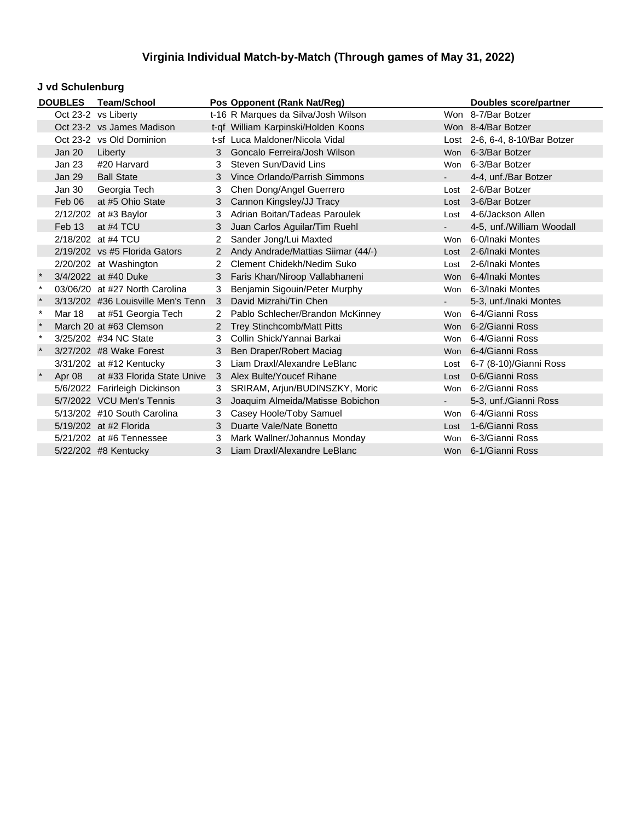### **J vd Schulenburg**

|         | <b>DOUBLES</b>    | <b>Team/School</b>                 |                      | Pos Opponent (Rank Nat/Reg)         | <b>Doubles score/partner</b> |                                |
|---------|-------------------|------------------------------------|----------------------|-------------------------------------|------------------------------|--------------------------------|
|         |                   | Oct 23-2 vs Liberty                |                      | t-16 R Marques da Silva/Josh Wilson |                              | Won 8-7/Bar Botzer             |
|         |                   | Oct 23-2 vs James Madison          |                      | t-qf William Karpinski/Holden Koons |                              | Won 8-4/Bar Botzer             |
|         |                   | Oct 23-2 vs Old Dominion           |                      | t-sf Luca Maldoner/Nicola Vidal     |                              | Lost 2-6, 6-4, 8-10/Bar Botzer |
|         | Jan 20            | Liberty                            | $\mathbf{3}$         | Goncalo Ferreira/Josh Wilson        |                              | Won 6-3/Bar Botzer             |
|         | Jan 23            | #20 Harvard                        | 3                    | Steven Sun/David Lins               | Won                          | 6-3/Bar Botzer                 |
|         | Jan 29            | <b>Ball State</b>                  | 3                    | Vince Orlando/Parrish Simmons       |                              | 4-4, unf./Bar Botzer           |
|         | Jan 30            | Georgia Tech                       | 3                    | Chen Dong/Angel Guerrero            | Lost                         | 2-6/Bar Botzer                 |
|         | Feb 06            | at #5 Ohio State                   | 3 <sup>1</sup>       | Cannon Kingsley/JJ Tracy            | Lost                         | 3-6/Bar Botzer                 |
|         |                   | 2/12/202 at #3 Baylor              | 3                    | Adrian Boitan/Tadeas Paroulek       | Lost                         | 4-6/Jackson Allen              |
|         | Feb <sub>13</sub> | at #4 TCU                          | 3                    | Juan Carlos Aguilar/Tim Ruehl       |                              | 4-5, unf./William Woodall      |
|         |                   | 2/18/202 at #4 TCU                 | $\overline{2}$       | Sander Jong/Lui Maxted              | Won                          | 6-0/Inaki Montes               |
|         |                   | $2/19/202$ vs #5 Florida Gators    | $\overline{2}$       | Andy Andrade/Mattias Siimar (44/-)  | Lost                         | 2-6/Inaki Montes               |
|         |                   | 2/20/202 at Washington             | $\mathbf{2}^{\circ}$ | Clement Chidekh/Nedim Suko          | Lost                         | 2-6/Inaki Montes               |
|         |                   | 3/4/2022 at #40 Duke               | 3                    | Faris Khan/Niroop Vallabhaneni      |                              | Won 6-4/Inaki Montes           |
| $\ast$  |                   | 03/06/20 at #27 North Carolina     | 3                    | Benjamin Sigouin/Peter Murphy       |                              | Won 6-3/Inaki Montes           |
| $\ast$  |                   | 3/13/202 #36 Louisville Men's Tenn | 3                    | David Mizrahi/Tin Chen              | $\sim 100$                   | 5-3, unf./Inaki Montes         |
| $\ast$  | Mar 18            | at #51 Georgia Tech                | $\mathbf{2}^{\circ}$ | Pablo Schlecher/Brandon McKinney    | Won                          | 6-4/Gianni Ross                |
| $\star$ |                   | March 20 at #63 Clemson            | $\mathbf{2}^{\circ}$ | <b>Trey Stinchcomb/Matt Pitts</b>   |                              | Won 6-2/Gianni Ross            |
|         |                   | 3/25/202 #34 NC State              | 3                    | Collin Shick/Yannai Barkai          |                              | Won 6-4/Gianni Ross            |
|         |                   | 3/27/202 #8 Wake Forest            | 3                    | Ben Draper/Robert Maciag            |                              | Won 6-4/Gianni Ross            |
|         |                   | 3/31/202 at #12 Kentucky           | 3                    | Liam Draxl/Alexandre LeBlanc        | Lost                         | 6-7 (8-10)/Gianni Ross         |
|         | Apr 08            | at #33 Florida State Unive         | 3                    | Alex Bulte/Youcef Rihane            | Lost                         | 0-6/Gianni Ross                |
|         |                   | 5/6/2022 Farirleigh Dickinson      | 3                    | SRIRAM, Arjun/BUDINSZKY, Moric      | Won                          | 6-2/Gianni Ross                |
|         |                   | 5/7/2022 VCU Men's Tennis          | 3                    | Joaquim Almeida/Matisse Bobichon    |                              | 5-3, unf./Gianni Ross          |
|         |                   | 5/13/202 #10 South Carolina        | 3                    | Casey Hoole/Toby Samuel             | Won                          | 6-4/Gianni Ross                |
|         |                   | 5/19/202 at #2 Florida             | 3                    | Duarte Vale/Nate Bonetto            | Lost                         | 1-6/Gianni Ross                |
|         |                   | 5/21/202 at #6 Tennessee           | 3                    | Mark Wallner/Johannus Monday        | Won                          | 6-3/Gianni Ross                |
|         |                   | 5/22/202 #8 Kentucky               | 3                    | Liam Draxl/Alexandre LeBlanc        |                              | Won 6-1/Gianni Ross            |